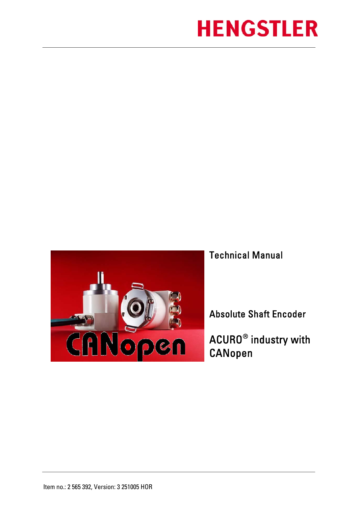# **HENGSTLER**



Technical Manual

Absolute Shaft Encoder

ACURO® industry with CANopen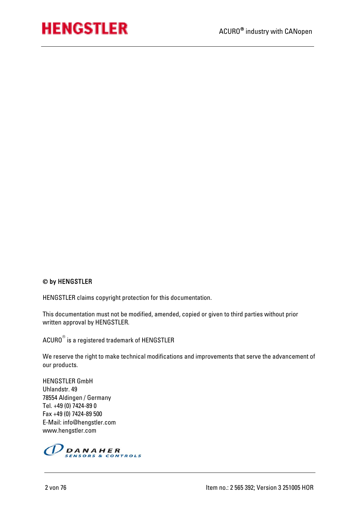#### © by HENGSTLER

HENGSTLER claims copyright protection for this documentation.

This documentation must not be modified, amended, copied or given to third parties without prior written approval by HENGSTLER.

ACURO $^\circ$  is a registered trademark of <code>HENGSTLER</code>

We reserve the right to make technical modifications and improvements that serve the advancement of our products.

HENGSTLER GmbH Uhlandstr. 49 78554 Aldingen / Germany Tel. +49 (0) 7424-89 0 Fax +49 (0) 7424-89 500 E-Mail: info@hengstler.com www.hengstler.com

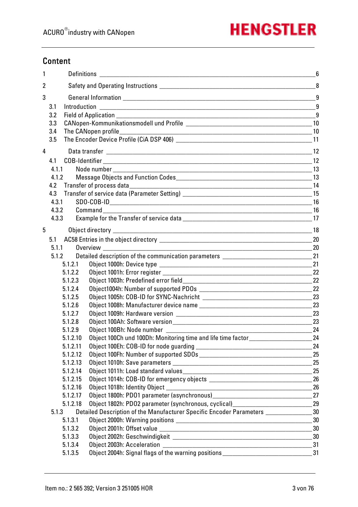# Content

| 1              |                      |                                                                                          | 6  |
|----------------|----------------------|------------------------------------------------------------------------------------------|----|
| $\overline{2}$ |                      |                                                                                          |    |
| 3              |                      |                                                                                          |    |
|                | 3.1<br>Introduction  |                                                                                          |    |
|                | 3.2                  |                                                                                          |    |
|                | 3.3                  |                                                                                          |    |
|                | 3.4                  |                                                                                          |    |
|                | 3.5                  |                                                                                          |    |
| 4              |                      |                                                                                          |    |
|                | 4.1                  |                                                                                          |    |
|                | 4.1.1                |                                                                                          |    |
|                | 4.1.2                |                                                                                          |    |
|                | 4.2                  |                                                                                          |    |
|                | 4.3<br>4.3.1         |                                                                                          |    |
|                | 4.3.2                |                                                                                          |    |
|                | 4.3.3                |                                                                                          |    |
|                |                      |                                                                                          |    |
| 5              | 5.1                  |                                                                                          | 20 |
|                | 5.1.1                |                                                                                          |    |
|                | 5.1.2                |                                                                                          |    |
|                | 5.1.2.1              |                                                                                          | 21 |
|                | 5.1.2.2              |                                                                                          |    |
|                | 5.1.2.3              |                                                                                          |    |
|                | 5.1.2.4              |                                                                                          |    |
|                | 5.1.2.5              |                                                                                          |    |
|                | 5.1.2.6              |                                                                                          |    |
|                | 5.1.2.7              |                                                                                          |    |
|                | 5.1.2.8              |                                                                                          | 23 |
|                | 5.1.2.9              |                                                                                          | 24 |
|                | 5.1.2.10<br>5.1.2.11 | Object 100Ch und 100Dh: Monitoring time and life time factor____________________         | 24 |
|                | 5.1.2.12             |                                                                                          |    |
|                | 5.1.2.13             |                                                                                          |    |
|                | 5.1.2.14             |                                                                                          |    |
|                | 5.1.2.15             |                                                                                          |    |
|                | 5.1.2.16             |                                                                                          |    |
|                | 5.1.2.17             |                                                                                          |    |
|                | 5.1.2.18             | Object 1802h: PDO2 parameter (synchronous, cyclical)_____________________________29      |    |
|                | 5.1.3                | Detailed Description of the Manufacturer Specific Encoder Parameters ____________        | 30 |
|                | 5.1.3.1              |                                                                                          | 30 |
|                | 5.1.3.2              |                                                                                          |    |
|                | 5.1.3.3              |                                                                                          |    |
|                | 5.1.3.4<br>5.1.3.5   | Object 2004h: Signal flags of the warning positions __________________________________31 |    |
|                |                      |                                                                                          |    |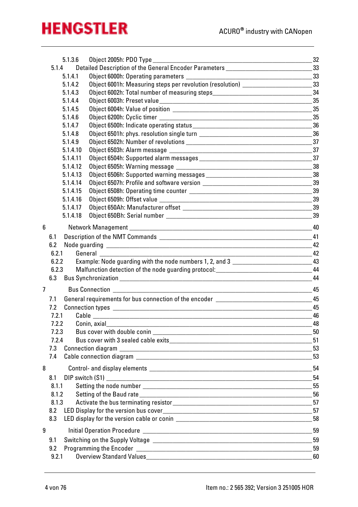|   | 5.1.3.6  |                                                                                               |    |  |  |
|---|----------|-----------------------------------------------------------------------------------------------|----|--|--|
|   | 5.1.4    | Detailed Description of the General Encoder Parameters __________________________________33   |    |  |  |
|   | 5.1.4.1  |                                                                                               |    |  |  |
|   | 5.1.4.2  | Object 6001h: Measuring steps per revolution (resolution) ________________________33          |    |  |  |
|   | 5.1.4.3  |                                                                                               |    |  |  |
|   | 5.1.4.4  |                                                                                               |    |  |  |
|   | 5.1.4.5  |                                                                                               |    |  |  |
|   | 5.1.4.6  |                                                                                               |    |  |  |
|   | 5.1.4.7  |                                                                                               |    |  |  |
|   | 5.1.4.8  |                                                                                               |    |  |  |
|   | 5.1.4.9  |                                                                                               |    |  |  |
|   | 5.1.4.10 |                                                                                               |    |  |  |
|   | 5.1.4.11 |                                                                                               |    |  |  |
|   | 5.1.4.12 |                                                                                               |    |  |  |
|   | 5.1.4.13 |                                                                                               |    |  |  |
|   | 5.1.4.14 |                                                                                               |    |  |  |
|   | 5.1.4.15 |                                                                                               |    |  |  |
|   | 5.1.4.16 |                                                                                               |    |  |  |
|   | 5.1.4.17 |                                                                                               |    |  |  |
|   | 5.1.4.18 |                                                                                               | 39 |  |  |
| 6 |          |                                                                                               | 40 |  |  |
|   | 6.1      |                                                                                               |    |  |  |
|   | 6.2      |                                                                                               | 42 |  |  |
|   | 6.2.1    |                                                                                               |    |  |  |
|   | 6.2.2    | Example: Node guarding with the node numbers 1, 2, and 3 __________________________________43 |    |  |  |
|   | 6.2.3    | Malfunction detection of the node guarding protocol: ___________________________              | 44 |  |  |
|   | 6.3      |                                                                                               | 44 |  |  |
| 7 |          |                                                                                               |    |  |  |
|   | 7.1      |                                                                                               |    |  |  |
|   | 7.2      |                                                                                               |    |  |  |
|   | 7.2.1    |                                                                                               | 46 |  |  |
|   | 7.2.2    |                                                                                               |    |  |  |
|   | 7.2.3    |                                                                                               |    |  |  |
|   | 7.2.4    |                                                                                               |    |  |  |
|   | 7.3      |                                                                                               |    |  |  |
|   | 7.4      |                                                                                               | 53 |  |  |
|   |          |                                                                                               |    |  |  |
| 8 |          |                                                                                               | 54 |  |  |
|   | 8.1      |                                                                                               |    |  |  |
|   | 8.1.1    |                                                                                               | 55 |  |  |
|   | 8.1.2    |                                                                                               |    |  |  |
|   | 8.1.3    |                                                                                               | 57 |  |  |
|   | 8.2      |                                                                                               | 57 |  |  |
|   | 8.3      |                                                                                               | 58 |  |  |
| 9 |          |                                                                                               | 59 |  |  |
|   | 9.1      |                                                                                               | 59 |  |  |
|   | 9.2      |                                                                                               |    |  |  |
|   | 9.2.1    |                                                                                               | 60 |  |  |
|   |          |                                                                                               |    |  |  |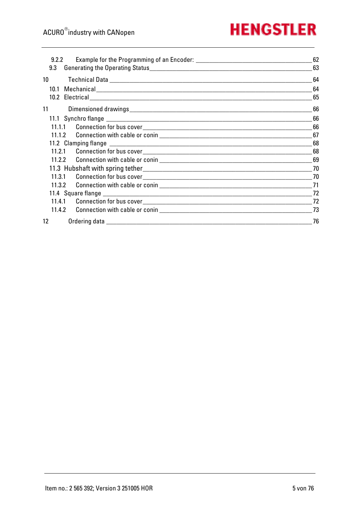# **HENGSTLER**

| 9.2.2           | 62 |
|-----------------|----|
| 9.3             | 63 |
| 10              | 64 |
|                 | 64 |
|                 | 65 |
| 11              | 66 |
|                 | 66 |
|                 |    |
|                 |    |
|                 |    |
|                 |    |
|                 |    |
|                 |    |
|                 | 70 |
|                 |    |
|                 |    |
|                 |    |
|                 | 73 |
| 12 <sup>2</sup> | 76 |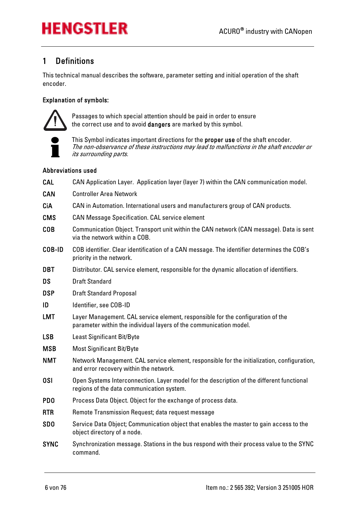# 1 Definitions

This technical manual describes the software, parameter setting and initial operation of the shaft encoder.

#### Explanation of symbols:



Passages to which special attention should be paid in order to ensure the correct use and to avoid dangers are marked by this symbol.



This Symbol indicates important directions for the proper use of the shaft encoder. The non-observance of these instructions may lead to malfunctions in the shaft encoder or its surrounding parts.

#### Abbreviations used

| <b>CAL</b>      | CAN Application Layer. Application layer (layer 7) within the CAN communication model.                                                                |
|-----------------|-------------------------------------------------------------------------------------------------------------------------------------------------------|
| <b>CAN</b>      | <b>Controller Area Network</b>                                                                                                                        |
| CiA             | CAN in Automation. International users and manufacturers group of CAN products.                                                                       |
| <b>CMS</b>      | <b>CAN Message Specification. CAL service element</b>                                                                                                 |
| COB             | Communication Object. Transport unit within the CAN network (CAN message). Data is sent<br>via the network within a COB.                              |
| COB-ID          | COB identifier. Clear identification of a CAN message. The identifier determines the COB's<br>priority in the network.                                |
| <b>DBT</b>      | Distributor. CAL service element, responsible for the dynamic allocation of identifiers.                                                              |
| <b>DS</b>       | <b>Draft Standard</b>                                                                                                                                 |
| <b>DSP</b>      | <b>Draft Standard Proposal</b>                                                                                                                        |
| ID              | Identifier, see COB-ID                                                                                                                                |
| <b>LMT</b>      | Layer Management. CAL service element, responsible for the configuration of the<br>parameter within the individual layers of the communication model. |
| <b>LSB</b>      | <b>Least Significant Bit/Byte</b>                                                                                                                     |
| <b>MSB</b>      | <b>Most Significant Bit/Byte</b>                                                                                                                      |
| <b>NMT</b>      | Network Management. CAL service element, responsible for the initialization, configuration,<br>and error recovery within the network.                 |
| <b>OSI</b>      | Open Systems Interconnection. Layer model for the description of the different functional<br>regions of the data communication system.                |
| PD <sub>0</sub> | Process Data Object. Object for the exchange of process data.                                                                                         |
| <b>RTR</b>      | Remote Transmission Request; data request message                                                                                                     |
| <b>SDO</b>      | Service Data Object; Communication object that enables the master to gain access to the<br>object directory of a node.                                |
| <b>SYNC</b>     | Synchronization message. Stations in the bus respond with their process value to the SYNC<br>command.                                                 |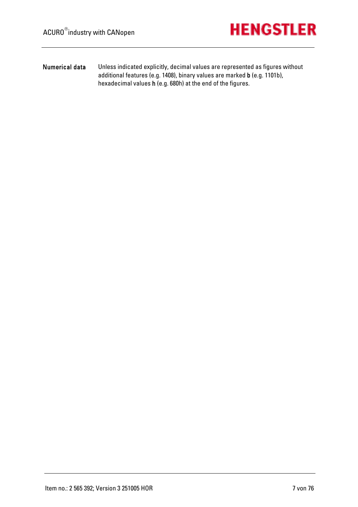

Numerical data Unless indicated explicitly, decimal values are represented as figures without additional features (e.g. 1408), binary values are marked b (e.g. 1101b), hexadecimal values h (e.g. 680h) at the end of the figures.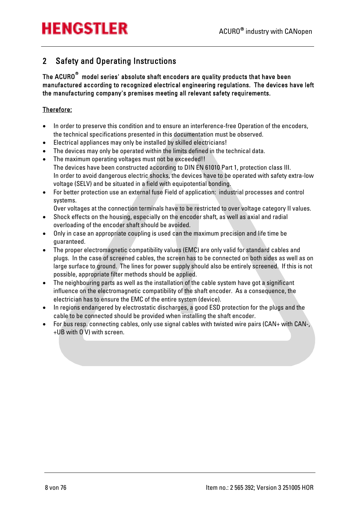# 2 Safety and Operating Instructions

The ACURO $^\circ$  model series' absolute shaft encoders are quality products that have been manufactured according to recognized electrical engineering regulations. The devices have left the manufacturing company's premises meeting all relevant safety requirements.

#### Therefore:

- In order to preserve this condition and to ensure an interference-free Operation of the encoders, the technical specifications presented in this documentation must be observed.
- Electrical appliances may only be installed by skilled electricians!
- The devices may only be operated within the limits defined in the technical data.
- The maximum operating voltages must not be exceeded!! The devices have been constructed according to DIN EN 61010 Part 1, protection class III. In order to avoid dangerous electric shocks, the devices have to be operated with safety extra-low voltage (SELV) and be situated in a field with equipotential bonding.
- For better protection use an external fuse Field of application: industrial processes and control systems.

Over voltages at the connection terminals have to be restricted to over voltage category II values.

- Shock effects on the housing, especially on the encoder shaft, as well as axial and radial overloading of the encoder shaft should be avoided.
- Only in case an appropriate coupling is used can the maximum precision and life time be guaranteed.
- The proper electromagnetic compatibility values (EMC) are only valid for standard cables and plugs. In the case of screened cables, the screen has to be connected on both sides as well as on large surface to ground. The lines for power supply should also be entirely screened. If this is not possible, appropriate filter methods should be applied.
- The neighbouring parts as well as the installation of the cable system have got a significant influence on the electromagnetic compatibility of the shaft encoder. As a consequence, the electrician has to ensure the EMC of the entire system (device).
- In regions endangered by electrostatic discharges, a good ESD protection for the plugs and the cable to be connected should be provided when installing the shaft encoder.
- For bus resp. connecting cables, only use signal cables with twisted wire pairs (CAN+ with CAN-, +UB with O V) with screen.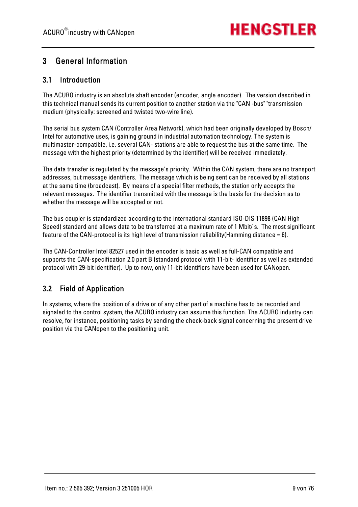# 3 General Information

# 3.1 Introduction

The ACURO industry is an absolute shaft encoder (encoder, angle encoder). The version described in this technical manual sends its current position to another station via the "CAN -bus" "transmission medium (physically: screened and twisted two-wire line).

The serial bus system CAN (Controller Area Network), which had been originally developed by Bosch/ Intel for automotive uses, is gaining ground in industrial automation technology. The system is multimaster-compatible, i.e. several CAN- stations are able to request the bus at the same time. The message with the highest priority (determined by the identifier) will be received immediately.

The data transfer is regulated by the message's priority. Within the CAN system, there are no transport addresses, but message identifiers. The message which is being sent can be received by all stations at the same time (broadcast). By means of a special filter methods, the station only accepts the relevant messages. The identifier transmitted with the message is the basis for the decision as to whether the message will be accepted or not.

The bus coupler is standardized according to the international standard ISO-DIS 11898 (CAN High Speed) standard and allows data to be transferred at a maximum rate of 1 Mbit/ s. The most significant feature of the CAN-protocol is its high level of transmission reliability (Hamming distance  $= 6$ ).

The CAN-Controller Intel 82527 used in the encoder is basic as well as full-CAN compatible and supports the CAN-specification 2.0 part B (standard protocol with 11-bit- identifier as well as extended protocol with 29-bit identifier). Up to now, only 11-bit identifiers have been used for CANopen.

# 3.2 Field of Application

In systems, where the position of a drive or of any other part of a machine has to be recorded and signaled to the control system, the ACURO industry can assume this function. The ACURO industry can resolve, for instance, positioning tasks by sending the check-back signal concerning the present drive position via the CANopen to the positioning unit.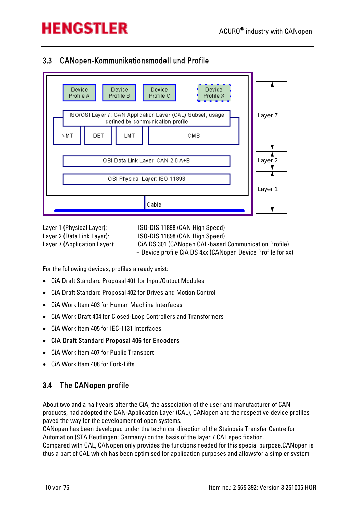# 3.3 CANopen-Kommunikationsmodell und Profile



Layer 1 (Physical Layer): ISO-DIS 11898 (CAN High Speed) Layer 2 (Data Link Layer): ISO-DIS 11898 (CAN High Speed) Layer 7 (Application Layer): CiA DS 301 (CANopen CAL-based Communication Profile) + Device profile CiA DS 4xx (CANopen Device Profile for xx)

For the following devices, profiles already exist:

- CiA Draft Standard Proposal 401 for Input/Output Modules
- CiA Draft Standard Proposal 402 for Drives and Motion Control
- CiA Work Item 403 for Human Machine Interfaces
- CiA Work Draft 404 for Closed-Loop Controllers and Transformers
- CiA Work Item 405 for IEC-1131 Interfaces
- CiA Draft Standard Proposal 406 for Encoders
- CiA Work Item 407 for Public Transport
- CiA Work Item 408 for Fork-Lifts

# 3.4 The CANopen profile

About two and a half years after the CiA, the association of the user and manufacturer of CAN products, had adopted the CAN-Application Layer (CAL), CANopen and the respective device profiles paved the way for the development of open systems.

CANopen has been developed under the technical direction of the Steinbeis Transfer Centre for Automation (STA Reutlingen; Germany) on the basis of the layer 7 CAL specification.

Compared with CAL, CANopen only provides the functions needed for this special purpose.CANopen is thus a part of CAL which has been optimised for application purposes and allowsfor a simpler system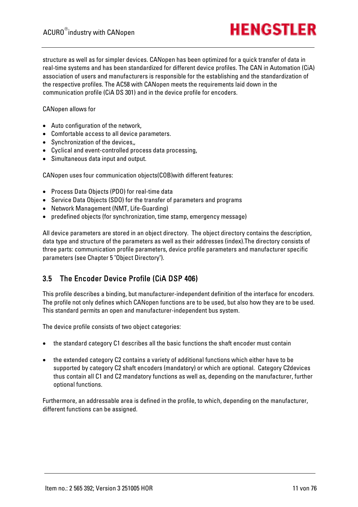

structure as well as for simpler devices. CANopen has been optimized for a quick transfer of data in real-time systems and has been standardized for different device profiles. The CAN in Automation (CiA) association of users and manufacturers is responsible for the establishing and the standardization of the respective profiles. The AC58 with CANopen meets the requirements laid down in the communication profile (CiA DS 301) and in the device profile for encoders.

CANopen allows for

- Auto configuration of the network,
- Comfortable access to all device parameters.
- Synchronization of the devices..
- Cyclical and event-controlled process data processing,
- Simultaneous data input and output.

CANopen uses four communication objects(COB)with different features:

- Process Data Objects (PDO) for real-time data
- Service Data Objects (SDO) for the transfer of parameters and programs
- Network Management (NMT, Life-Guarding)
- predefined objects (for synchronization, time stamp, emergency message)

All device parameters are stored in an object directory. The object directory contains the description, data type and structure of the parameters as well as their addresses (index).The directory consists of three parts: communication profile parameters, device profile parameters and manufacturer specific parameters (see Chapter 5 "Object Directory").

# 3.5 The Encoder Device Profile (CiA DSP 406)

This profile describes a binding, but manufacturer-independent definition of the interface for encoders. The profile not only defines which CANopen functions are to be used, but also how they are to be used. This standard permits an open and manufacturer-independent bus system.

The device profile consists of two object categories:

- the standard category C1 describes all the basic functions the shaft encoder must contain
- the extended category C2 contains a variety of additional functions which either have to be supported by category C2 shaft encoders (mandatory) or which are optional. Category C2devices thus contain all C1 and C2 mandatory functions as well as, depending on the manufacturer, further optional functions.

Furthermore, an addressable area is defined in the profile, to which, depending on the manufacturer, different functions can be assigned.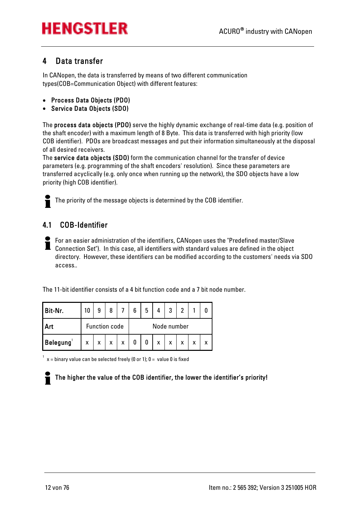# **HENGSTLER**

# 4 Data transfer

In CANopen, the data is transferred by means of two different communication types(COB=Communication Object) with different features:

- Process Data Objects (PDO)
- Service Data Objects (SDO)

The process data objects (PDO) serve the highly dynamic exchange of real-time data (e.g. position of the shaft encoder) with a maximum length of 8 Byte. This data is transferred with high priority (low COB identifier). PDOs are broadcast messages and put their information simultaneously at the disposal of all desired receivers.

The service data objects (SDO) form the communication channel for the transfer of device parameters (e.g. programming of the shaft encoders' resolution). Since these parameters are transferred acyclically (e.g. only once when running up the network), the SDO objects have a low priority (high COB identifier).

The priority of the message objects is determined by the COB identifier.

# 4.1 COB-Identifier

For an easier administration of the identifiers, CANopen uses the "Predefined master/Slave **EXECONDECTS CONNECTS CONNECTS AND SET OF ALL INCORPORATION** Connection Set"). In this case, all identifiers with standard values are defined in the object directory. However, these identifiers can be modified according to the customers' needs via SDO access..

The 11-bit identifier consists of a 4 bit function code and a 7 bit node number.

| Bit-Nr.    |                      |   | 8 |             | 6 | 5 |  | 3 | ົ |  |
|------------|----------------------|---|---|-------------|---|---|--|---|---|--|
| <b>Art</b> | <b>Function code</b> |   |   | Node number |   |   |  |   |   |  |
| Belegung   | x                    | X | x | Χ           |   |   |  | х |   |  |

 $1$  x = binary value can be selected freely (0 or 1); 0 = value 0 is fixed

### The higher the value of the COB identifier, the lower the identifier's priority!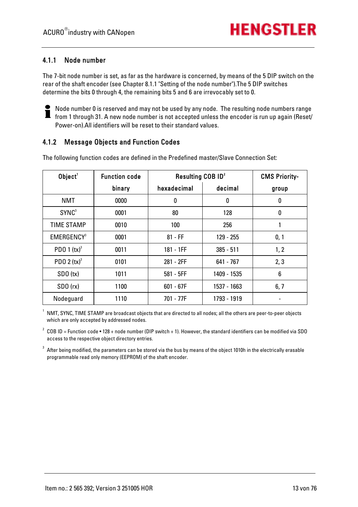#### 4.1.1 Node number

The 7-bit node number is set, as far as the hardware is concerned, by means of the 5 DIP switch on the rear of the shaft encoder (see Chapter 8.1.1 "Setting of the node number").The 5 DIP switches determine the bits 0 through 4, the remaining bits 5 and 6 are irrevocably set to 0.

Node number 0 is reserved and may not be used by any node. The resulting node numbers range from 1 through 31. A new node number is not accepted unless the encoder is run up again (Reset/ Power-on).All identifiers will be reset to their standard values.

#### 4.1.2 Message Objects and Function Codes

| Object <sup>'</sup>           | <b>Function code</b> |             | Resulting COB ID <sup>2</sup> |       |  |
|-------------------------------|----------------------|-------------|-------------------------------|-------|--|
|                               | binary               | hexadecimal |                               | group |  |
| <b>NMT</b>                    | 0000                 | 0           | 0                             | 0     |  |
| SYNC <sup>3</sup>             | 0001                 | 80          | 128                           | 0     |  |
| <b>TIME STAMP</b>             | 0010                 | 100         | 256                           |       |  |
| <b>EMERGENCY</b> <sup>3</sup> | 0001                 | $81 - FF$   | $129 - 255$                   | 0, 1  |  |
| PD0 1 $(tx)^3$                | 0011                 | 181 - 1FF   | $385 - 511$                   | 1, 2  |  |
| PD0 2 $(tx)^3$                | 0101                 | 281 - 2FF   | $641 - 767$                   | 2, 3  |  |
| $SDO$ (tx)                    | 1011                 | $581 - 5FF$ | 1409 - 1535                   | 6     |  |
| SDO (rx)                      | 1100                 | $601 - 67F$ | 1537 - 1663                   | 6, 7  |  |
| Nodeguard                     | 1110                 | 701 - 77F   | 1793 - 1919                   |       |  |

The following function codes are defined in the Predefined master/Slave Connection Set:

 $^{\rm ^{1}}$  NMT, SYNC, TIME STAMP are broadcast objects that are directed to all nodes; all the others are peer-to-peer objects which are only accepted by addressed nodes.

 $^2$  COB ID = Function code • 128 + node number (DIP switch + 1). However, the standard identifiers can be modified via SDO access to the respective object directory entries.

 $^{\rm 3}$  After being modified, the parameters can be stored via the bus by means of the object 1010h in the electrically erasable programmable read only memory (EEPROM) of the shaft encoder.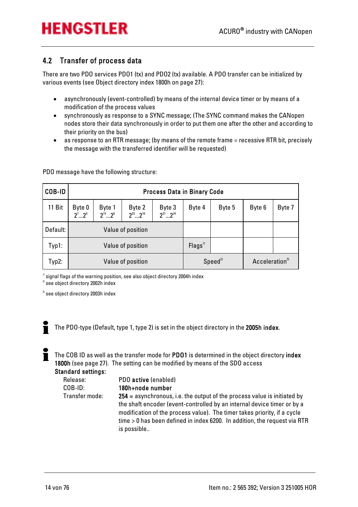# 4.2 Transfer of process data

There are two PDO services PDO1 (tx) and PDO2 (tx) available. A PDO transfer can be initialized by various events (see Object directory index 1800h on page 27):

- asynchronously (event-controlled) by means of the internal device timer or by means of a modification of the process values
- synchronously as response to a SYNC message; (The SYNC command makes the CANopen nodes store their data synchronously in order to put them one after the other and according to their priority on the bus)
- as response to an RTR message; (by means of the remote frame = recessive RTR bit, precisely the message with the transferred identifier will be requested)

| COB-ID   |                           | <b>Process Data in Binary Code</b> |                             |                             |                    |                    |                            |        |
|----------|---------------------------|------------------------------------|-----------------------------|-----------------------------|--------------------|--------------------|----------------------------|--------|
| 11 Bit   | Byte 0<br>$2^7 \cdot 2^0$ | Byte 1<br>$2^{15}$ $2^8$           | Byte 2<br>$2^{23}$ $2^{16}$ | Byte 3<br>$2^{31}$ $2^{24}$ | Byte 4             | Byte 5             | Byte 6                     | Byte 7 |
| Default: |                           |                                    | Value of position           |                             |                    |                    |                            |        |
| Typ1:    |                           |                                    | Value of position           |                             | Flags <sup>1</sup> |                    |                            |        |
| Typ2:    |                           |                                    | Value of position           |                             |                    | Speed <sup>2</sup> | Acceleration <sup>3)</sup> |        |

PDO message have the following structure:

 $\frac{1}{2}$  signal flags of the warning position, see also object directory 2004h index  $\frac{2}{3}$  see object directory 2002h index

3) see object directory 2003h index

The PDO-type (Default, type 1, type 2) is set in the object directory in the 2005h index.

The COB ID as well as the transfer mode for PDO1 is determined in the object directory index 1800h (see page 27). The setting can be modified by means of the SDO access

| <b>Standard settings:</b> |  |
|---------------------------|--|
|---------------------------|--|

| Release:       | PDO active (enabled)                                                                                                                                                                                                                                                                                                          |
|----------------|-------------------------------------------------------------------------------------------------------------------------------------------------------------------------------------------------------------------------------------------------------------------------------------------------------------------------------|
| $COB-ID:$      | 180h+node number                                                                                                                                                                                                                                                                                                              |
| Transfer mode: | $254$ = asynchronous, i.e. the output of the process value is initiated by<br>the shaft encoder (event-controlled by an internal device timer or by a<br>modification of the process value). The timer takes priority, if a cycle<br>time > 0 has been defined in index 6200. In addition, the request via RTR<br>is possible |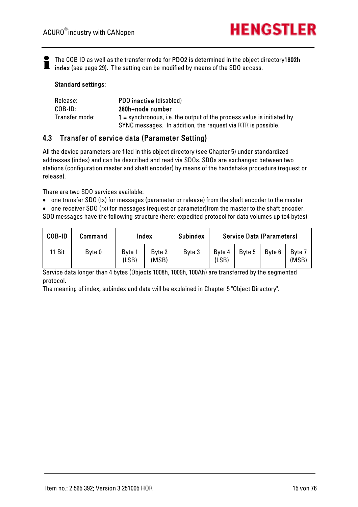The COB ID as well as the transfer mode for PDO2 is determined in the object directory1802h  $\blacksquare$ index (see page 29). The setting can be modified by means of the SDO access.

#### Standard settings:

| Release:       | PDO inactive (disabled)                                                 |
|----------------|-------------------------------------------------------------------------|
| $COB-ID:$      | 280h+node number                                                        |
| Transfer mode: | $1$ = synchronous, i.e. the output of the process value is initiated by |
|                | SYNC messages. In addition, the request via RTR is possible.            |

# 4.3 Transfer of service data (Parameter Setting)

All the device parameters are filed in this object directory (see Chapter 5) under standardized addresses (index) and can be described and read via SDOs. SDOs are exchanged between two stations (configuration master and shaft encoder) by means of the handshake procedure (request or release).

There are two SDO services available:

- one transfer SDO (tx) for messages (parameter or release) from the shaft encoder to the master
- one receiver SDO (rx) for messages (request or parameter)from the master to the shaft encoder. SDO messages have the following structure (here: expedited protocol for data volumes up to4 bytes):

| COB-ID   | Command | Index           |                 | <b>Subindex</b> |                 |        | <b>Service Data (Parameters)</b> |                 |
|----------|---------|-----------------|-----------------|-----------------|-----------------|--------|----------------------------------|-----------------|
| $11$ Bit | Byte 0  | Byte 1<br>(LSB) | Byte 2<br>(MSB) | Byte 3          | Byte 4<br>(LSB) | Byte 5 | Byte 6                           | Byte 7<br>(MSB) |

Service data longer than 4 bytes (Objects 1008h, 1009h, 100Ah) are transferred by the segmented protocol.

The meaning of index, subindex and data will be explained in Chapter 5 "Object Directory".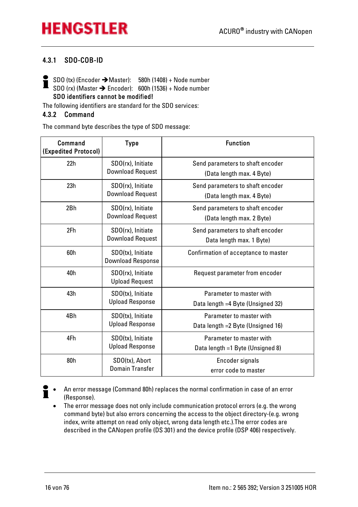### 4.3.1 SDO-COB-ID

 $\sum_{n=0}^{\infty}$  SDO (tx) (Encoder  $\rightarrow$  Master): 580h (1408) + Node number SDO (rx) (Master  $\rightarrow$  Encoder): 600h (1536) + Node number SDO identifiers cannot be modified!

The following identifiers are standard for the SDO services:

#### 4.3.2 Command

The command byte describes the type of SDO message:

| <b>Command</b><br>(Expedited Protocol) | <b>Type</b>                                   | <b>Function</b>                                                |
|----------------------------------------|-----------------------------------------------|----------------------------------------------------------------|
| 22h                                    | SDO(rx), Initiate<br><b>Download Request</b>  | Send parameters to shaft encoder<br>(Data length max. 4 Byte)  |
| 23h                                    | SDO(rx), Initiate<br><b>Download Request</b>  | Send parameters to shaft encoder<br>(Data length max. 4 Byte)  |
| 2Bh                                    | SDO(rx), Initiate<br><b>Download Request</b>  | Send parameters to shaft encoder<br>(Data length max. 2 Byte)  |
| 2Fh                                    | SDO(rx), Initiate<br><b>Download Request</b>  | Send parameters to shaft encoder<br>Data length max. 1 Byte)   |
| 60h                                    | SDO(tx), Initiate<br><b>Download Response</b> | Confirmation of acceptance to master                           |
| 40 <sub>h</sub>                        | SDO(rx), Initiate<br><b>Upload Request</b>    | Request parameter from encoder                                 |
| 43h                                    | SDO(tx), Initiate<br><b>Upload Response</b>   | Parameter to master with<br>Data length =4 Byte (Unsigned 32)  |
| 4Bh                                    | SDO(tx), Initiate<br><b>Upload Response</b>   | Parameter to master with<br>Data length = 2 Byte (Unsigned 16) |
| 4Fh                                    | SDO(tx), Initiate<br><b>Upload Response</b>   | Parameter to master with<br>Data length =1 Byte (Unsigned 8)   |
| 80h                                    | SDO(tx), Abort<br><b>Domain Transfer</b>      | Encoder signals<br>error code to master                        |

i • An error message (Command 80h) replaces the normal confirmation in case of an error (Response).

• The error message does not only include communication protocol errors (e.g. the wrong command byte) but also errors concerning the access to the object directory-(e.g. wrong index, write attempt on read only object, wrong data length etc.).The error codes are described in the CANopen profile (DS 301) and the device profile (DSP 406) respectively.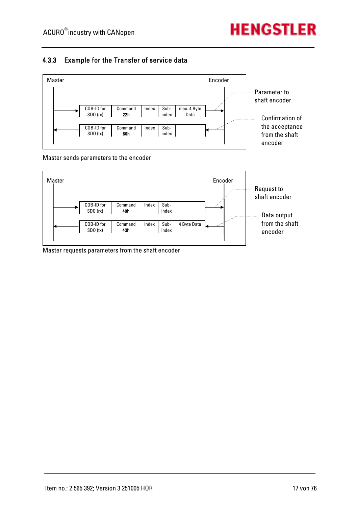# 4.3.3 Example for the Transfer of service data





Master requests parameters from the shaft encoder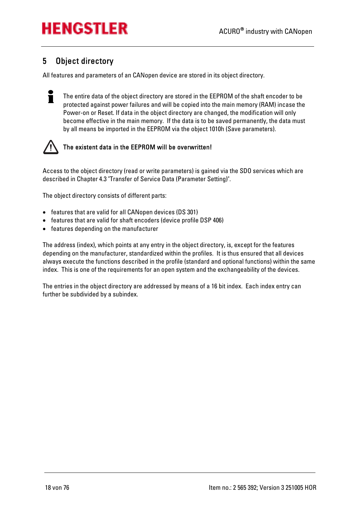# 5 Object directory

i

All features and parameters of an CANopen device are stored in its object directory.

The entire data of the object directory are stored in the EEPROM of the shaft encoder to be protected against power failures and will be copied into the main memory (RAM) incase the Power-on or Reset. If data in the object directory are changed, the modification will only become effective in the main memory. If the data is to be saved permanently, the data must by all means be imported in the EEPROM via the object 1010h (Save parameters).



Access to the object directory (read or write parameters) is gained via the SDO services which are described in Chapter 4.3 "Transfer of Service Data (Parameter Setting)".

The object directory consists of different parts:

- features that are valid for all CANopen devices (DS 301)
- features that are valid for shaft encoders (device profile DSP 406)
- features depending on the manufacturer

The address (index), which points at any entry in the object directory, is, except for the features depending on the manufacturer, standardized within the profiles. It is thus ensured that all devices always execute the functions described in the profile (standard and optional functions) within the same index. This is one of the requirements for an open system and the exchangeability of the devices.

The entries in the object directory are addressed by means of a 16 bit index. Each index entry can further be subdivided by a subindex.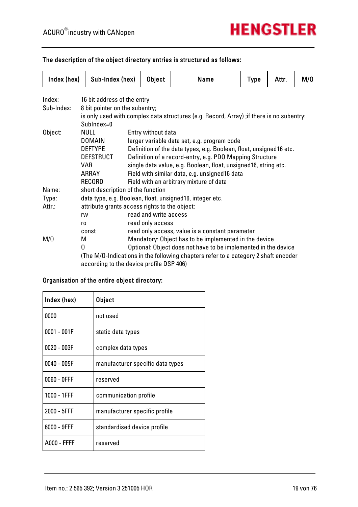

### The description of the object directory entries is structured as follows:

| Index (hex)          | Sub-Index (hex)                                                                                            | <b>Object</b>                             | Name                                                                                                                                                                                                                                                                                                                                          | Type | Attr. | M/0 |
|----------------------|------------------------------------------------------------------------------------------------------------|-------------------------------------------|-----------------------------------------------------------------------------------------------------------------------------------------------------------------------------------------------------------------------------------------------------------------------------------------------------------------------------------------------|------|-------|-----|
| Index:<br>Sub-Index: | 16 bit address of the entry<br>8 bit pointer on the subentry;<br>SubIndex=0                                |                                           | is only used with complex data structures (e.g. Record, Array) ; if there is no subentry:                                                                                                                                                                                                                                                     |      |       |     |
| Object:              | <b>NULL</b><br><b>DOMAIN</b><br><b>DEFTYPE</b><br><b>DEFSTRUCT</b><br><b>VAR</b><br>ARRAY<br><b>RECORD</b> | Entry without data                        | larger variable data set, e.g. program code<br>Definition of the data types, e.g. Boolean, float, unsigned 16 etc.<br>Definition of e record-entry, e.g. PDO Mapping Structure<br>single data value, e.g. Boolean, float, unsigned16, string etc.<br>Field with similar data, e.g. unsigned16 data<br>Field with an arbitrary mixture of data |      |       |     |
| Name:                | short description of the function                                                                          |                                           |                                                                                                                                                                                                                                                                                                                                               |      |       |     |
| Type:<br>Attr.:      | attribute grants access rights to the object:<br>rw<br>ro<br>const                                         | read and write access<br>read only access | data type, e.g. Boolean, float, unsigned 16, integer etc.<br>read only access, value is a constant parameter                                                                                                                                                                                                                                  |      |       |     |
| M/O                  | м<br>0<br>according to the device profile DSP 406)                                                         |                                           | Mandatory: Object has to be implemented in the device<br>Optional: Object does not have to be implemented in the device<br>(The M/O-Indications in the following chapters refer to a category 2 shaft encoder                                                                                                                                 |      |       |     |

| Index (hex)    | <b>Object</b>                    |
|----------------|----------------------------------|
| 0000           | not used                         |
| $0001 - 001F$  | static data types                |
| $0020 - 003F$  | complex data types               |
| $0040 - 005F$  | manufacturer specific data types |
| $0060 - 0$ FFF | reserved                         |
| 1000 - 1FFF    | communication profile            |
| 2000 - 5FFF    | manufacturer specific profile    |
| 6000 - 9FFF    | standardised device profile      |
| A000 - FFFF    | reserved                         |

#### Organisation of the entire object directory: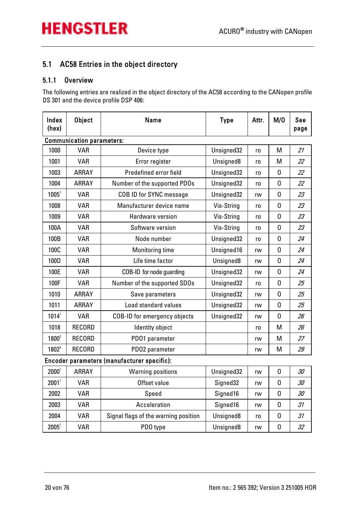# 5.1 AC58 Entries in the object directory

### 5.1.1 Overview

The following entries are realized in the object directory of the AC58 according to the CANopen profile DS 301 and the device profile DSP 406:

| Index<br>(hex)    | <b>Object</b>                    | <b>Name</b>                                 | <b>Type</b> | Attr. | M/O            | See<br>page |
|-------------------|----------------------------------|---------------------------------------------|-------------|-------|----------------|-------------|
|                   | <b>Communication parameters:</b> |                                             |             |       |                |             |
| 1000              | <b>VAR</b>                       | Device type                                 | Unsigned32  | ro    | M              | 21          |
| 1001              | <b>VAR</b>                       | Error register                              | Unsigned8   | ro    | M              | 22          |
| 1003              | <b>ARRAY</b>                     | Predefined error field                      | Unsigned32  | ro    | 0              | 22          |
| 1004              | <b>ARRAY</b>                     | Number of the supported PDOs                | Unsigned32  | ro    | 0              | 22          |
| $1005^1$          | <b>VAR</b>                       | <b>COB ID for SYNC message</b>              | Unsigned32  | rw    | $\overline{0}$ | 23          |
| 1008              | <b>VAR</b>                       | Manufacturer device name                    | Vis-String  | ro    | $\mathbf 0$    | 23          |
| 1009              | <b>VAR</b>                       | Hardware version                            | Vis-String  | ro    | 0              | 23          |
| 100A              | <b>VAR</b>                       | Software version                            | Vis-String  | ro    | 0              | 23          |
| 100B              | <b>VAR</b>                       | Node number                                 | Unsigned32  | ro    | 0              | 24          |
| <b>100C</b>       | <b>VAR</b>                       | Monitoring time                             | Unsigned16  | rw    | $\overline{0}$ | 24          |
| 100D              | <b>VAR</b>                       | Life time factor                            | Unsigned8   | rw    | $\overline{0}$ | 24          |
| 100E              | <b>VAR</b>                       | COB-ID for node guarding                    | Unsigned32  | rw    | $\overline{0}$ | 24          |
| 100F              | <b>VAR</b>                       | Number of the supported SDOs                | Unsigned32  | ro    | 0              | 25          |
| 1010              | <b>ARRAY</b>                     | Save parameters                             | Unsigned32  | rw    | $\overline{0}$ | 25          |
| 1011              | <b>ARRAY</b>                     | Load standard values                        | Unsigned32  | rw    | $\overline{0}$ | 25          |
| 1014 <sup>1</sup> | <b>VAR</b>                       | COB-ID for emergency objects                | Unsigned32  | rw    | $\mathbf 0$    | 26          |
| 1018              | <b>RECORD</b>                    | Identity object                             |             | ro    | M              | 26          |
| $1800^2$          | <b>RECORD</b>                    | PD01 parameter                              |             | rw    | M              | 27          |
| $1802^2$          | <b>RECORD</b>                    | PD02 parameter                              |             | rw    | M              | 29          |
|                   |                                  | Encoder parameters (manufacturer specific): |             |       |                |             |
| $2000^1$          | <b>ARRAY</b>                     | <b>Warning positions</b>                    | Unsigned32  | rw    | $\mathbf 0$    | 30          |
| 2001 <sup>1</sup> | <b>VAR</b>                       | Offset value                                | Signed32    | rw    | $\overline{0}$ | 30          |

2002 VAR Speed Signed16 rw O 30 2003 VAR Acceleration Signed16 rw | 0 |  $31$ 2004 | VAR | Signal flags of the warning position | Unsigned8 | ro | 0 | 31

VAR  $\vert$  PDO type  $\vert$  Unsigned8 rw  $\vert$  O  $\vert$  32

 $2005<sup>1</sup>$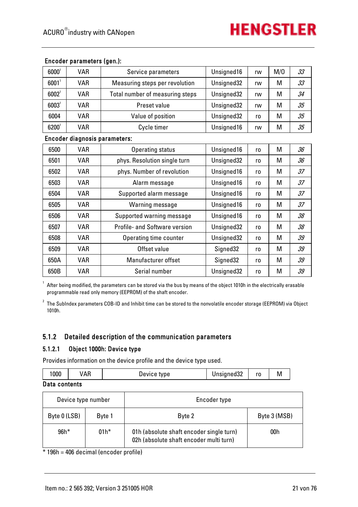| 6000 <sup>1</sup> | <b>VAR</b>                           | Service parameters              | Unsigned16 | rw | M/O | 33 |
|-------------------|--------------------------------------|---------------------------------|------------|----|-----|----|
| $6001^1$          | <b>VAR</b>                           | Measuring steps per revolution  | Unsigned32 | rw | M   | 33 |
| $6002^1$          | <b>VAR</b>                           | Total number of measuring steps | Unsigned32 | rw | M   | 34 |
| 6003 <sup>1</sup> | <b>VAR</b>                           | Preset value                    | Unsigned32 | rw | M   | 35 |
| 6004              | <b>VAR</b>                           | Value of position               | Unsigned32 | ro | M   | 35 |
| $6200^1$          | <b>VAR</b>                           | Cycle timer                     | Unsigned16 | rw | M   | 35 |
|                   | <b>Encoder diagnosis parameters:</b> |                                 |            |    |     |    |
| 6500              | <b>VAR</b>                           | <b>Operating status</b>         | Unsigned16 | ro | M   | 36 |
| 6501              | <b>VAR</b>                           | phys. Resolution single turn    | Unsigned32 | ro | M   | 36 |
| 6502              | <b>VAR</b>                           | phys. Number of revolution      | Unsigned16 | ro | M   | 37 |
| 6503              | <b>VAR</b>                           | Alarm message                   | Unsigned16 | ro | M   | 37 |
| 6504              | <b>VAR</b>                           | Supported alarm message         | Unsigned16 | ro | M   | 37 |
| 6505              | <b>VAR</b>                           | Warning message                 | Unsigned16 | ro | M   | 37 |
| 6506              | <b>VAR</b>                           | Supported warning message       | Unsigned16 | ro | M   | 38 |
| 6507              | <b>VAR</b>                           | Profile- and Software version   | Unsigned32 | ro | M   | 38 |
| 6508              | <b>VAR</b>                           | Operating time counter          | Unsigned32 | ro | M   | 39 |
| 6509              | <b>VAR</b>                           | Offset value                    | Signed32   | ro | M   | 39 |
| 650A              | <b>VAR</b>                           | Manufacturer offset             | Signed32   | ro | M   | 39 |
| 650B              | <b>VAR</b>                           | Serial number                   | Unsigned32 | ro | M   | 39 |

### Encoder parameters (gen.):

 $^{\rm ^{1}}$  After being modified, the parameters can be stored via the bus by means of the object 1010h in the electrically erasable programmable read only memory (EEPROM) of the shaft encoder.

 $^{\rm 2}$  The SubIndex parameters COB-ID and Inhibit time can be stored to the nonvolatile encoder storage (EEPROM) via Object 1010h.

#### 5.1.2 Detailed description of the communication parameters

#### 5.1.2.1 Object 1000h: Device type

Provides information on the device profile and the device type used.

| 000 | /AR | Device type | Unsigned32 | ro | M |
|-----|-----|-------------|------------|----|---|
|     |     |             |            |    |   |

| Data contents |
|---------------|
|---------------|

| Device type number |        | Encoder type                                                                        |              |
|--------------------|--------|-------------------------------------------------------------------------------------|--------------|
| Byte 0 (LSB)       | Byte 1 | Byte 2                                                                              | Byte 3 (MSB) |
| $96h*$             | $01h*$ | 01h (absolute shaft encoder single turn)<br>02h (absolute shaft encoder multi turn) | 00h          |

 $*$  196h = 406 decimal (encoder profile)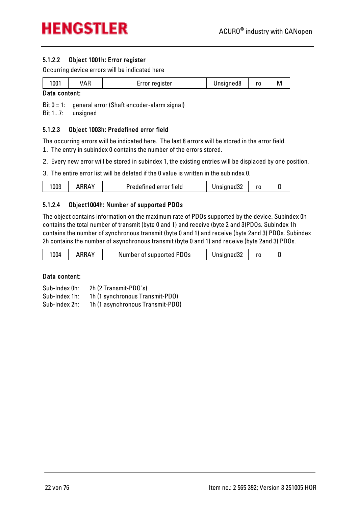#### 5.1.2.2 Object 1001h: Error register

Occurring device errors will be indicated here

| 001 | −. | rror register_ | sianeax | ro<br>v | ΙVΙ |
|-----|----|----------------|---------|---------|-----|
|     |    |                |         |         |     |

#### Data content:

 $Bit 0 = 1:$  general error (Shaft encoder-alarm signal)

Bit 1...7: unsigned

#### 5.1.2.3 Object 1003h: Predefined error field

The occurring errors will be indicated here. The last 8 errors will be stored in the error field.

- 1. The entry in subindex 0 contains the number of the errors stored.
- 2. Every new error will be stored in subindex 1, the existing entries will be displaced by one position.
- 3. The entire error list will be deleted if the 0 value is written in the subindex 0.

| 1003 | <b>ARRAY</b> | Predefined error field | Unsigned32 | rc |  |  |
|------|--------------|------------------------|------------|----|--|--|
|------|--------------|------------------------|------------|----|--|--|

#### 5.1.2.4 Object1004h: Number of supported PDOs

The object contains information on the maximum rate of PDOs supported by the device. Subindex 0h contains the total number of transmit (byte 0 and 1) and receive (byte 2 and 3)PDOs. Subindex 1h contains the number of synchronous transmit (byte 0 and 1) and receive (byte 2and 3) PDOs. Subindex 2h contains the number of asynchronous transmit (byte 0 and 1) and receive (byte 2and 3) PDOs.

| <b>ARRAY</b><br>Jnsigned32<br>'004<br>Number of supported PDOs |
|----------------------------------------------------------------|
|----------------------------------------------------------------|

#### Data content:

| Sub-Index Oh: | 2h (2 Transmit-PDO's)            |
|---------------|----------------------------------|
| Sub-Index 1h: | 1h (1 synchronous Transmit-PDO)  |
| Sub-Index 2h: | 1h (1 asynchronous Transmit-PDO) |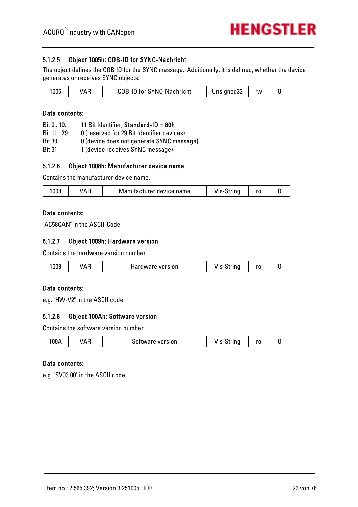### 5.1.2.5 Object 1005h: COB-ID for SYNC-Nachricht

The object defines the COB ID for the SYNC message. Additionally, it is defined, whether the device generates or receives SYNC objects.

| for SYNC-Nachricht<br>005<br>COB-ID<br>7 A F<br>ΔL | 'Jnsianed32 | rw |  |
|----------------------------------------------------|-------------|----|--|
|----------------------------------------------------|-------------|----|--|

#### Data contents:

| Bit 010:       | 11 Bit Identifier; Standard-ID = 80h       |
|----------------|--------------------------------------------|
| Bit 1129:      | 0 (reserved for 29 Bit Identifier devices) |
| <b>Bit 30:</b> | 0 (device does not generate SYNC message)  |
| <b>Bit 31:</b> | 1 (device receives SYNC message)           |

#### 5.1.2.6 Object 1008h: Manufacturer device name

Contains the manufacturer device name.

| 008<br>Manufacturer device name<br>.<br>Ηı |
|--------------------------------------------|
|--------------------------------------------|

#### Data contents:

"AC58CAN" in the ASCII-Code

#### 5.1.2.7 Object 1009h: Hardware version

Contains the hardware version number.

|  | 009 | . ור | $r$ $n n$<br><b>VEISION</b><br>uware | ------ | . . |  |
|--|-----|------|--------------------------------------|--------|-----|--|
|--|-----|------|--------------------------------------|--------|-----|--|

#### Data contents:

e.g. "HW-V2" in the ASCII code

#### 5.1.2.8 Object 100Ah: Software version

Contains the software version number.

| 00A | л г<br>$\mathbf{m}$ | version<br>poliware | .<br>шч<br>ாப | --- |  |
|-----|---------------------|---------------------|---------------|-----|--|
|-----|---------------------|---------------------|---------------|-----|--|

#### Data contents:

e.g. "SV03.00" in the ASCII code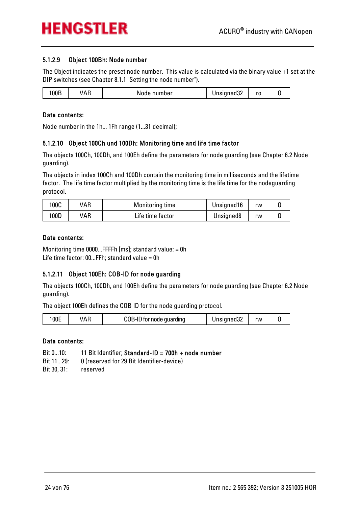#### 5.1.2.9 Object 100Bh: Node number

The Object indicates the preset node number. This value is calculated via the binary value +1 set at the DIP switches (see Chapter 8.1.1 "Setting the node number").

| 00B | 'ΔF<br>. п. | number<br>ιм.<br>iuue | ההו<br>∠טוויי ⊔<br>. | <b>100</b> |  |
|-----|-------------|-----------------------|----------------------|------------|--|
|-----|-------------|-----------------------|----------------------|------------|--|

#### Data contents:

Node number in the 1h... 1Fh range (1...31 decimal);

#### 5.1.2.10 Object 100Ch und 100Dh: Monitoring time and life time factor

The objects 100Ch, 100Dh, and 100Eh define the parameters for node guarding (see Chapter 6.2 Node guarding).

The objects in index 100Ch and 100Dh contain the monitoring time in milliseconds and the lifetime factor. The life time factor multiplied by the monitoring time is the life time for the nodeguarding protocol.

| 100C | VAR | <b>Monitoring time</b> | Unsigned16 | rw |  |
|------|-----|------------------------|------------|----|--|
| 100D | √AR | Life time factor       | Unsigned8  | rw |  |

#### Data contents:

Monitoring time 0000...FFFFh [ms]; standard value: = 0h Life time factor: 00...FFh; standard value = 0h

#### 5.1.2.11 Object 100Eh: COB-ID for node guarding

The objects 100Ch, 100Dh, and 100Eh define the parameters for node guarding (see Chapter 6.2 Node guarding).

The object 100Eh defines the COB ID for the node guarding protocol.

|  | 100E | / A F<br>$\mathbf{m}$ | COB-ID for node guarding | Jnsigned32 | rw |  |
|--|------|-----------------------|--------------------------|------------|----|--|
|--|------|-----------------------|--------------------------|------------|----|--|

#### Data contents:

| Bit 010:    | 11 Bit Identifier; Standard-ID = 700h + node number |
|-------------|-----------------------------------------------------|
| Bit 1129:   | 0 (reserved for 29 Bit Identifier-device)           |
| Bit 30, 31: | reserved                                            |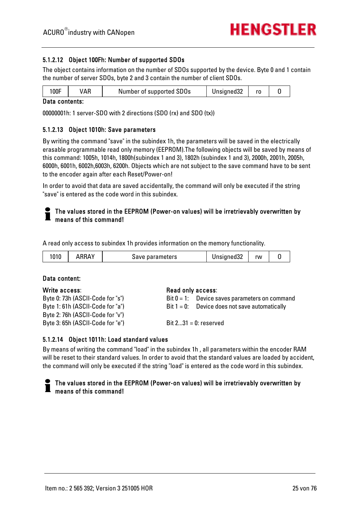#### 5.1.2.12 Object 100Fh: Number of supported SDOs

The object contains information on the number of SDOs supported by the device. Byte 0 and 1 contain the number of server SDOs, byte 2 and 3 contain the number of client SDOs.

| <b>!00F</b> | VAR | Number of supported SDOs | Unsigned32 | rc |  |
|-------------|-----|--------------------------|------------|----|--|
|             |     |                          |            |    |  |

#### Data contents:

00000001h: 1 server-SDO with 2 directions (SDO (rx) and SDO (tx))

#### 5.1.2.13 Object 1010h: Save parameters

By writing the command "save" in the subindex 1h, the parameters will be saved in the electrically erasable programmable read only memory (EEPROM).The following objects will be saved by means of this command: 1005h, 1014h, 1800h(subindex 1 and 3), 1802h (subindex 1 and 3), 2000h, 2001h, 2005h, 6000h, 6001h, 6002h,6003h, 6200h. Objects which are not subject to the save command have to be sent to the encoder again after each Reset/Power-on!

In order to avoid that data are saved accidentally, the command will only be executed if the string "save" is entered as the code word in this subindex.

#### The values stored in the EEPROM (Power-on values) will be irretrievably overwritten by ı means of this command!

A read only access to subindex 1h provides information on the memory functionality.

| 0.10<br>1010 | $\mathbf{A}$<br>பட | <sup>6</sup> parameters<br>avн | $\sim$<br>runeuoz | rw |  |
|--------------|--------------------|--------------------------------|-------------------|----|--|
|--------------|--------------------|--------------------------------|-------------------|----|--|

#### Data content:

| Write access:                    | Read only access:                                |
|----------------------------------|--------------------------------------------------|
| Byte 0: 73h (ASCII-Code for "s") | Bit $0 = 1$ : Device saves parameters on command |
| Byte 1: 61h (ASCII-Code for "a") | Bit $1 = 0$ : Device does not save automatically |
| Byte 2: 76h (ASCII-Code for "v") |                                                  |
| Byte 3: 65h (ASCII-Code for "e") | Bit $231 = 0$ : reserved                         |

#### 5.1.2.14 Object 1011h: Load standard values

By means of writing the command "load" in the subindex 1h , all parameters within the encoder RAM will be reset to their standard values. In order to avoid that the standard values are loaded by accident, the command will only be executed if the string "load" is entered as the code word in this subindex.

#### The values stored in the EEPROM (Power-on values) will be irretrievably overwritten by П means of this command!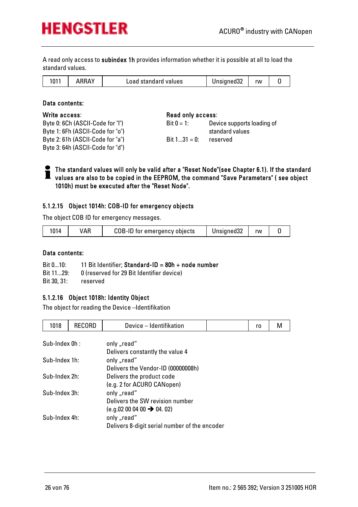A read only access to subindex 1h provides information whether it is possible at all to load the standard values.

| Unsigned32<br>ARBAV<br> 011<br>Load standard values<br>rw |
|-----------------------------------------------------------|
|-----------------------------------------------------------|

#### Data contents:

| Write access:                    | Read only access: |                            |
|----------------------------------|-------------------|----------------------------|
| Byte 0: 6Ch (ASCII-Code for "I") | Bit $0 = 1$ :     | Device supports loading of |
| Byte 1: 6Fh (ASCII-Code for "o") |                   | standard values            |
| Byte 2: 61h (ASCII-Code for "a") | Bit $131 = 0$ :   | reserved                   |
| Byte 3: 64h (ASCII-Code for "d") |                   |                            |

The standard values will only be valid after a "Reset Node"(see Chapter 6.1). If the standard values are also to be copied in the EEPROM, the command "Save Parameters" ( see object 1010h) must be executed after the "Reset Node".

#### 5.1.2.15 Object 1014h: COB-ID for emergency objects

The object COB ID for emergency messages.

| COB-ID for emergency objects<br>Unsigned32<br>1014<br>"W |
|----------------------------------------------------------|
|----------------------------------------------------------|

#### Data contents:

Bit 0...10: 11 Bit Identifier: Standard-ID = 80h + node number Bit 11...29: 0 (reserved for 29 Bit Identifier device) Bit 30, 31: reserved

#### 5.1.2.16 Object 1018h: Identity Object

The object for reading the Device –Identifikation

| 1018          | <b>RECORD</b> | Device - Identifikation                       | ro | M |
|---------------|---------------|-----------------------------------------------|----|---|
|               |               |                                               |    |   |
| Sub-Index Oh: |               | only "read"                                   |    |   |
|               |               | Delivers constantly the value 4               |    |   |
| Sub-Index 1h: |               | only "read"                                   |    |   |
|               |               | Delivers the Vendor-ID (00000008h)            |    |   |
| Sub-Index 2h: |               | Delivers the product code                     |    |   |
|               |               | (e.g. 2 for ACURO CANopen)                    |    |   |
| Sub-Index 3h: |               | only "read"                                   |    |   |
|               |               | Delivers the SW revision number               |    |   |
|               |               | $(e.g. 02 00 04 00 \rightarrow 04. 02)$       |    |   |
| Sub-Index 4h: |               | only "read"                                   |    |   |
|               |               | Delivers 8-digit serial number of the encoder |    |   |
|               |               |                                               |    |   |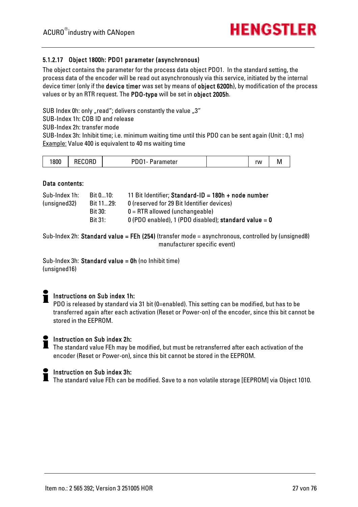#### 5.1.2.17 Object 1800h: PDO1 parameter (asynchronous)

The object contains the parameter for the process data object PDO1. In the standard setting, the process data of the encoder will be read out asynchronously via this service, initiated by the internal device timer (only if the device timer was set by means of object 6200h), by modification of the process values or by an RTR request. The PDO-type will be set in object 2005h.

SUB Index 0h: only "read"; delivers constantly the value "3"

SUB-Index 1h: COB ID and release

SUB-Index 2h: transfer mode

SUB-Index 3h: Inhibit time; i.e. minimum waiting time until this PDO can be sent again (Unit : 0,1 ms) Example: Value 400 is equivalent to 40 ms waiting time

| <b>RECORD</b><br>PNN1<br>1800<br>arameter <sup>.</sup><br>rw<br>ΙVΙ |
|---------------------------------------------------------------------|
|---------------------------------------------------------------------|

#### Data contents:

| Sub-Index 1h: | Bit 010:       | 11 Bit Identifier; Standard-ID = $180h + node$ number   |
|---------------|----------------|---------------------------------------------------------|
| (unsigned32)  | Bit 1129:      | 0 (reserved for 29 Bit Identifier devices)              |
|               | Bit 30:        | $0 = RTR$ allowed (unchangeable)                        |
|               | <b>Bit 31:</b> | $0$ (PDO enabled), 1 (PDO disabled); standard value = 0 |

Sub-Index 2h: Standard value = FEh (254) (transfer mode = asynchronous, controlled by (unsigned8) manufacturer specific event)

Sub-Index 3h: Standard value = 0h (no Inhibit time) (unsigned16)

#### Instructions on Sub index 1h:

PDO is released by standard via 31 bit (0=enabled). This setting can be modified, but has to be transferred again after each activation (Reset or Power-on) of the encoder, since this bit cannot be stored in the EEPROM.

## Instruction on Sub index 2h:

The standard value FEh may be modified, but must be retransferred after each activation of the encoder (Reset or Power-on), since this bit cannot be stored in the EEPROM.

#### Instruction on Sub index 3h:

The standard value FEh can be modified. Save to a non volatile storage [EEPROM] via Object 1010.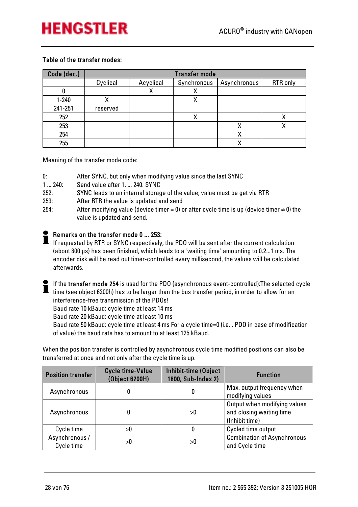#### Table of the transfer modes:

| Code (dec.) |          |           | <b>Transfer mode</b> |              |                 |
|-------------|----------|-----------|----------------------|--------------|-----------------|
|             | Cyclical | Acyclical | Synchronous          | Asynchronous | <b>RTR</b> only |
|             |          | ↗         |                      |              |                 |
| $1 - 240$   |          |           |                      |              |                 |
| 241-251     | reserved |           |                      |              |                 |
| 252         |          |           |                      |              | Λ               |
| 253         |          |           |                      |              | Λ               |
| 254         |          |           |                      | ⋏            |                 |
| 255         |          |           |                      |              |                 |

Meaning of the transfer mode code:

- 0: After SYNC, but only when modifying value since the last SYNC
- 1 ... 240: Send value after 1. ... 240. SYNC
- 252: SYNC leads to an internal storage of the value; value must be get via RTR
- 253: After RTR the value is updated and send
- 254: After modifying value (device timer = 0) or after cycle time is up (device timer  $\neq$  0) the value is updated and send.

#### Remarks on the transfer mode 0 ... 253:

- $\blacksquare$ If requested by RTR or SYNC respectively, the PDO will be sent after the current calculation (about 800 μs) has been finished, which leads to a "waiting time" amounting to 0.2...1 ms. The encoder disk will be read out timer-controlled every millisecond, the values will be calculated afterwards.
- If the transfer mode 254 is used for the PDO (asynchronous event-controlled):The selected cycle L time (see object 6200h) has to be larger than the bus transfer period, in order to allow for an interference-free transmission of the PDOs!

Baud rate 10 kBaud: cycle time at least 14 ms

Baud rate 20 kBaud: cycle time at least 10 ms

Baud rate 50 kBaud: cycle time at least 4 ms For a cycle time=0 (i.e. . PDO in case of modification of value) the baud rate has to amount to at least 125 kBaud.

When the position transfer is controlled by asynchronous cycle time modified positions can also be transferred at once and not only after the cycle time is up.

| <b>Position transfer</b> | <b>Cycle time-Value</b><br>(Object 6200H) | Inhibit-time (Object<br>1800, Sub-Index 2) | <b>Function</b>                    |
|--------------------------|-------------------------------------------|--------------------------------------------|------------------------------------|
| Asynchronous             |                                           |                                            | Max. output frequency when         |
|                          |                                           |                                            | modifying values                   |
|                          |                                           |                                            | Output when modifying values       |
| Asynchronous             | 0                                         | >0                                         | and closing waiting time           |
|                          |                                           |                                            | (Inhibit time)                     |
| Cycle time               | >0                                        |                                            | Cycled time output                 |
| Asynchronous /           |                                           |                                            | <b>Combination of Asynchronous</b> |
| Cycle time               | >0                                        | >0                                         | and Cycle time                     |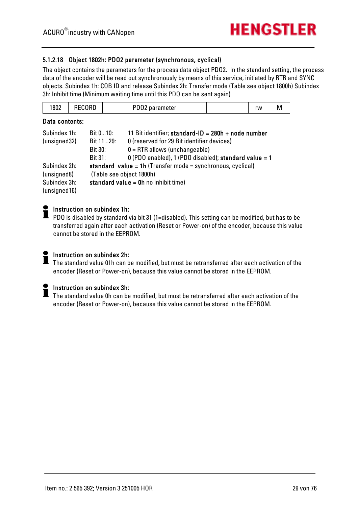#### 5.1.2.18 Object 1802h: PDO2 parameter (synchronous, cyclical)

The object contains the parameters for the process data object PDO2. In the standard setting, the process data of the encoder will be read out synchronously by means of this service, initiated by RTR and SYNC objects. Subindex 1h: COB ID and release Subindex 2h: Transfer mode (Table see object 1800h) Subindex 3h: Inhibit time (Minimum waiting time until this PDO can be sent again)

| <b>RECORD</b><br>PD02 parameter<br>1802 | rw | M |  |
|-----------------------------------------|----|---|--|
|-----------------------------------------|----|---|--|

#### Data contents:

| Subindex 1h:<br>(unsigned32) | Bit 010:<br>Bit 1129:<br>Bit 30: | 11 Bit identifier; standard-ID = $280h + node$ number<br>0 (reserved for 29 Bit identifier devices)<br>$0 = RTR$ allows (unchangeable) |
|------------------------------|----------------------------------|----------------------------------------------------------------------------------------------------------------------------------------|
|                              | Bit 31:                          | 0 (PDO enabled), 1 (PDO disabled); standard value = 1                                                                                  |
| Subindex 2h:<br>(unsigned8)  |                                  | standard value = 1h (Transfer mode = synchronous, cyclical)<br>(Table see object 1800h)                                                |
|                              |                                  |                                                                                                                                        |
| Subindex 3h:                 |                                  | standard value $=$ 0h no inhibit time)                                                                                                 |
| (unsigned16)                 |                                  |                                                                                                                                        |

#### Instruction on subindex 1h:

**PDO** is disabled by standard via bit 31 (1=disabled). This setting can be modified, but has to be transferred again after each activation (Reset or Power-on) of the encoder, because this value cannot be stored in the EEPROM.

#### $\blacksquare$  Instruction on subindex 2h:

The standard value 01h can be modified, but must be retransferred after each activation of the encoder (Reset or Power-on), because this value cannot be stored in the EEPROM.

#### Instruction on subindex 3h:

The standard value 0h can be modified, but must be retransferred after each activation of the encoder (Reset or Power-on), because this value cannot be stored in the EEPROM.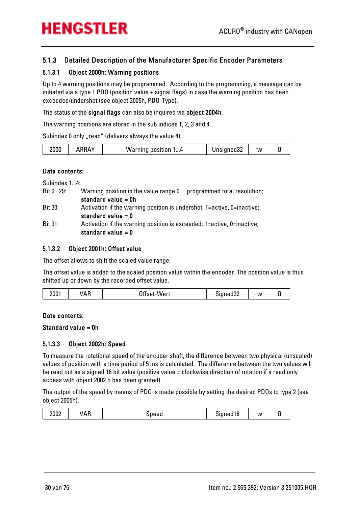#### 5.1.3 Detailed Description of the Manufacturer Specific Encoder Parameters

#### 5.1.3.1 Object 2000h: Warning positions

Up to 4 warning positions may be programmed. According to the programming, a message can be initiated via a type 1 PDO (position value + signal flags) in case the warning position has been exceeded/undershot (see object 2005h, PDO-Type).

The status of the signal flags can also be inquired via object 2004h.

The warning positions are stored in the sub indices 1, 2, 3 and 4.

Subindex 0 only ... read" (delivers always the value 4).

| 2000 | <b>ARRAY</b> | Warning position 14 | Jnsigned32 | "W |  |
|------|--------------|---------------------|------------|----|--|
|------|--------------|---------------------|------------|----|--|

#### Data contents:

Subindex  $1.4$ :

| Bit 029:       | Warning position in the value range 0  programmed total resolution;<br>standard value $=$ 0h   |
|----------------|------------------------------------------------------------------------------------------------|
| <b>Bit 30:</b> | Activation if the warning position is undershot; 1=active, 0=inactive;<br>standard value $= 0$ |
| <b>Bit 31:</b> | Activation if the warning position is exceeded; 1=active, 0=inactive;<br>standard value $= 0$  |

#### 5.1.3.2 Object 2001h: Offset value

The offset allows to shift the scaled value range.

The offset value is added to the scaled position value within the encoder. The position value is thus shifted up or down by the recorded offset value.

| 2001<br>1 A D | ገ፥፥ሶ^+<br>-Wert<br>UIISEL<br>. ור | Signed32 | rw |  |
|---------------|-----------------------------------|----------|----|--|
|---------------|-----------------------------------|----------|----|--|

#### Data contents:

#### Standard value = 0h

#### 5.1.3.3 Object 2002h: Speed

To measure the rotational speed of the encoder shaft, the difference between two physical (unscaled) values of position with a time period of 5 ms is calculated. The difference between the two values will be read out as a signed 16 bit value (positive value = clockwise direction of rotation if a read only access with object 2002 h has been granted).

The output of the speed by means of PDO is made possible by setting the desired PDOs to type 2 (see object 2005h).

| 2002<br>$\mathbf{A}$<br>$V$ mil | --- | . .<br>. .<br>1.0000000<br>1 U | rw<br>. |  |
|---------------------------------|-----|--------------------------------|---------|--|
|---------------------------------|-----|--------------------------------|---------|--|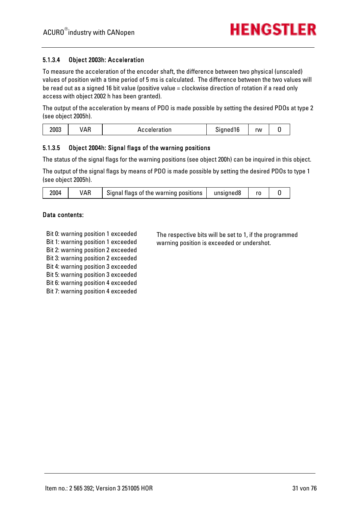#### 5.1.3.4 Object 2003h: Acceleration

To measure the acceleration of the encoder shaft, the difference between two physical (unscaled) values of position with a time period of 5 ms is calculated. The difference between the two values will be read out as a signed 16 bit value (positive value = clockwise direction of rotation if a read only access with object 2002 h has been granted).

The output of the acceleration by means of PDO is made possible by setting the desired PDOs at type 2 (see object 2005h).

| 2003 | $\mathbf{A}$<br>$V \cap V$ | .<br>rauon<br>HULLEIL. | . .<br>∵aned i | rw |  |
|------|----------------------------|------------------------|----------------|----|--|
|------|----------------------------|------------------------|----------------|----|--|

#### 5.1.3.5 Object 2004h: Signal flags of the warning positions

The status of the signal flags for the warning positions (see object 200h) can be inquired in this object.

The output of the signal flags by means of PDO is made possible by setting the desired PDOs to type 1 (see object 2005h).

|  | 2004 |  | Signal flags of the warning positions | unsigned8 |  |  |  |
|--|------|--|---------------------------------------|-----------|--|--|--|
|--|------|--|---------------------------------------|-----------|--|--|--|

#### Data contents:

Bit 0: warning position 1 exceeded Bit 1: warning position 1 exceeded Bit 2: warning position 2 exceeded Bit 3: warning position 2 exceeded Bit 4: warning position 3 exceeded Bit 5: warning position 3 exceeded Bit 6: warning position 4 exceeded Bit 7: warning position 4 exceeded The respective bits will be set to 1, if the programmed warning position is exceeded or undershot.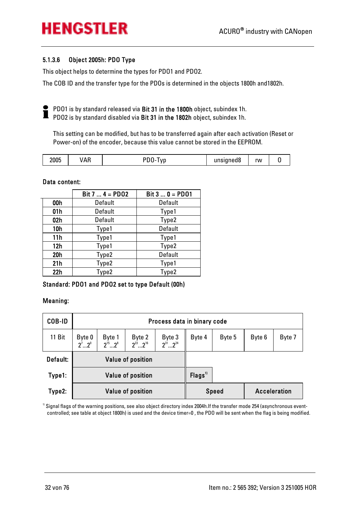### 5.1.3.6 Object 2005h: PDO Type

This object helps to determine the types for PDO1 and PDO2.

The COB ID and the transfer type for the PDOs is determined in the objects 1800h and1802h.

PDO1 is by standard released via Bit 31 in the 1800h object, subindex 1h. **PDO2** is by standard disabled via Bit 31 in the 1802h object, subindex 1h.

This setting can be modified, but has to be transferred again after each activation (Reset or Power-on) of the encoder, because this value cannot be stored in the EEPROM.

| 2005<br>ח ה<br><br>- -<br>. | euo | rw |  |
|-----------------------------|-----|----|--|
|-----------------------------|-----|----|--|

#### Data content:

|                 | Bit $74 = PDO2$ | Bit $30 =$ PD01 |
|-----------------|-----------------|-----------------|
| 00h             | Default         | Default         |
| 01 <sub>h</sub> | Default         | Type1           |
| 02h             | Default         | Type2           |
| <b>10h</b>      | Type1           | Default         |
| 11h             | Type1           | Type1           |
| <b>12h</b>      | Type1           | Type2           |
| 20 <sub>h</sub> | Type2           | Default         |
| 21h             | Type2           | Type1           |
| 22h             | Type2           | Type2           |

#### Standard: PDO1 and PDO2 set to type Default (00h)

#### Meaning:

| COB-ID   |                          | Process data in binary code |                          |                          |                     |              |                     |        |
|----------|--------------------------|-----------------------------|--------------------------|--------------------------|---------------------|--------------|---------------------|--------|
| 11 Bit   | Byte $0$<br>$2^{7}2^{0}$ | Byte 1<br>$2^{15}2^8$       | Byte 2<br>$2^{23}2^{16}$ | Byte 3<br>$2^{31}2^{24}$ | Byte 4              | Byte 5       | Byte 6              | Byte 7 |
| Default: | Value of position        |                             |                          |                          |                     |              |                     |        |
| Type1:   |                          |                             | Value of position        |                          | Flags <sup>11</sup> |              |                     |        |
| Type2:   |                          |                             | Value of position        |                          |                     | <b>Speed</b> | <b>Acceleration</b> |        |

<sup>1)</sup> Signal flags of the warning positions, see also object directory index 2004h.If the transfer mode 254 (asynchronous eventcontrolled; see table at object 1800h) is used and the device timer=0 , the PDO will be sent when the flag is being modified.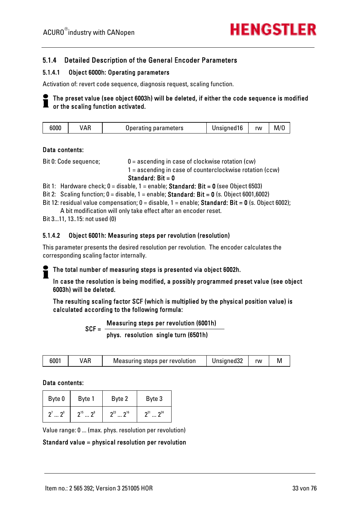### 5.1.4 Detailed Description of the General Encoder Parameters

#### 5.1.4.1 Object 6000h: Operating parameters

Activation of: revert code sequence, diagnosis request, scaling function.

### The preset value (see object 6003h) will be deleted, if either the code sequence is modified **D** or the scaling function activated.

| 6000 | / A F<br>. חרי | Uperating parameters | 16<br>Unsianed | rw | M/C |
|------|----------------|----------------------|----------------|----|-----|
|------|----------------|----------------------|----------------|----|-----|

#### Data contents:

```
Bit 0: Code sequence; 0 = ascending in case of clockwise rotation (cw)
                    1 = ascending in case of counterclockwise rotation (ccw) 
                   Standard: \text{Bit} = 0
```

```
Bit 1: Hardware check; 0 = disable, 1 = enable; Standard: Bit = 0 (see Object 6503)
```
Bit 2: Scaling function;  $0 =$  disable,  $1 =$  enable; Standard: Bit = 0 (s. Object 6001,6002)

Bit 12: residual value compensation;  $0 =$  disable, 1 = enable; Standard: Bit = 0 (s. Object 6002);

A bit modification will only take effect after an encoder reset.

Bit 3...11, 13..15: not used (0)

#### 5.1.4.2 Object 6001h: Measuring steps per revolution (resolution)

This parameter presents the desired resolution per revolution. The encoder calculates the corresponding scaling factor internally.

#### The total number of measuring steps is presented via object 6002h.

In case the resolution is being modified, a possibly programmed preset value (see object 6003h) will be deleted.

The resulting scaling factor SCF (which is multiplied by the physical position value) is calculated according to the following formula:

 $SCF =$  Measuring steps per revolution (6001h)

```
phys. resolution single turn (6501h)
```

| 600<br>Measuring steps per revolution | Jnsigned32 | rw |  |
|---------------------------------------|------------|----|--|
|---------------------------------------|------------|----|--|

#### Data contents:

| Byte 0          | Byte 1      | Byte 2            | Byte 3                |
|-----------------|-------------|-------------------|-----------------------|
| $2^7 \dots 2^0$ | $2^{15}2^8$ | $2^{23}$ $2^{16}$ | $2^{31} \dots 2^{24}$ |

Value range: 0 ... (max. phys. resolution per revolution)

#### Standard value = physical resolution per revolution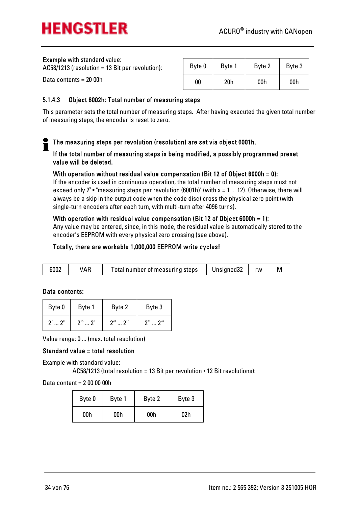# **HENGSTLER**

Example with standard value:

AC58/1213 (resolution = 13 Bit per revolution):

Data contents = 20 00h

| Byte 0 | Byte 1 | Byte 2 | Byte 3 |
|--------|--------|--------|--------|
| 00     | 20h    | 00h    | 00h    |

### 5.1.4.3 Object 6002h: Total number of measuring steps

This parameter sets the total number of measuring steps. After having executed the given total number of measuring steps, the encoder is reset to zero.

#### The measuring steps per revolution (resolution) are set via object 6001h.

#### If the total number of measuring steps is being modified, a possibly programmed preset value will be deleted.

#### With operation without residual value compensation (Bit 12 of Object 6000h = 0):

If the encoder is used in continuous operation, the total number of measuring steps must not exceed only  $2^x$  • "measuring steps per revolution (6001h)" (with x = 1 ... 12). Otherwise, there will always be a skip in the output code when the code disc) cross the physical zero point (with single-turn encoders after each turn, with multi-turn after 4096 turns).

#### With operation with residual value compensation (Bit 12 of Object 6000h = 1):

Any value may be entered, since, in this mode, the residual value is automatically stored to the encoder's EEPROM with every physical zero crossing (see above).

#### Totally, there are workable 1,000,000 EEPROM write cycles!

| 6002 | 7 A F<br>H | fotal number of measuring steps | Unsigned32 | rw | IV |
|------|------------|---------------------------------|------------|----|----|

#### Data contents:

| Byte 0   | Byte 1      | Byte 2            | Byte 3            |
|----------|-------------|-------------------|-------------------|
| $2^72^0$ | $2^{15}2^8$ | $2^{23}$ $2^{16}$ | $2^{31}$ $2^{24}$ |

Value range: 0 ... (max. total resolution)

#### Standard value = total resolution

Example with standard value:

AC58/1213 (total resolution = 13 Bit per revolution • 12 Bit revolutions):

Data content = 2 00 00 00h

| Byte 0 | Byte 1          | Byte 2 | Byte 3 |
|--------|-----------------|--------|--------|
| 00h    | 00 <sub>h</sub> | 00h    | 02h    |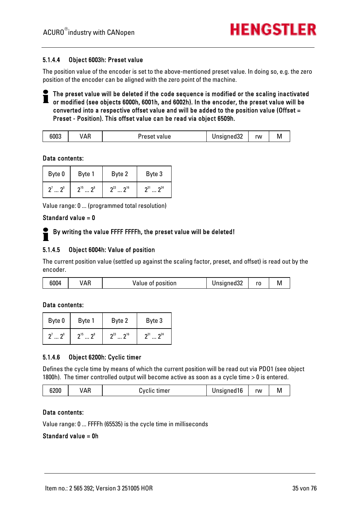#### 5.1.4.4 Object 6003h: Preset value

The position value of the encoder is set to the above-mentioned preset value. In doing so, e.g. the zero position of the encoder can be aligned with the zero point of the machine.

The preset value will be deleted if the code sequence is modified or the scaling inactivated L or modified (see objects 6000h, 6001h, and 6002h). In the encoder, the preset value will be converted into a respective offset value and will be added to the position value (Offset = Preset - Position). This offset value can be read via object 6509h.

| 6003<br>$\mathbf{v}$<br>value<br>AU. | $\sim$<br>∠נטסיי | rw | ΙVΙ |
|--------------------------------------|------------------|----|-----|
|--------------------------------------|------------------|----|-----|

#### Data contents:

| Byte 0   | Byte 1      | Byte 2                | Byte 3                |
|----------|-------------|-----------------------|-----------------------|
| $2^72^0$ | $2^{15}2^8$ | $2^{23} \dots 2^{16}$ | $2^{31} \dots 2^{24}$ |

Value range: 0 ... (programmed total resolution)

#### Standard value  $= 0$

#### By writing the value FFFF FFFFh, the preset value will be deleted!

#### 5.1.4.5 Object 6004h: Value of position

The current position value (settled up against the scaling factor, preset, and offset) is read out by the encoder.

| 6004<br>'ΛD<br>י ור | Value of position | Unsigned32 | <b>re</b> | ΙVΙ |
|---------------------|-------------------|------------|-----------|-----|
|---------------------|-------------------|------------|-----------|-----|

#### Data contents:

| Byte 0          | Byte 1      | Byte 2                | Byte 3                |
|-----------------|-------------|-----------------------|-----------------------|
| $2^7 \dots 2^0$ | $2^{15}2^8$ | $2^{23} \dots 2^{16}$ | $2^{31} \dots 2^{24}$ |

#### 5.1.4.6 Object 6200h: Cyclic timer

Defines the cycle time by means of which the current position will be read out via PDO1 (see object 1800h). The timer controlled output will become active as soon as a cycle time > 0 is entered.

| 6200 | √∆⊏<br>VAIL | tımer<br>Wolld | . .<br>'nsianed<br>10 | rw<br>- - - | ΙVΙ |
|------|-------------|----------------|-----------------------|-------------|-----|
|      |             |                |                       |             |     |

#### Data contents:

Value range: 0 ... FFFFh (65535) is the cycle time in milliseconds

#### Standard value = 0h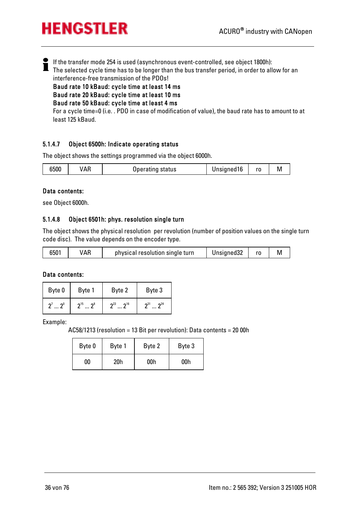# **HENGSTLER**

If the transfer mode 254 is used (asynchronous event-controlled, see object 1800h): The selected cycle time has to be longer than the bus transfer period, in order to allow for an interference-free transmission of the PDOs!

Baud rate 10 kBaud: cycle time at least 14 ms Baud rate 20 kBaud: cycle time at least 10 ms Baud rate 50 kBaud: cycle time at least 4 ms

For a cycle time=0 (i.e. . PDO in case of modification of value), the baud rate has to amount to at least 125 kBaud.

#### 5.1.4.7 Object 6500h: Indicate operating status

The object shows the settings programmed via the object 6000h.

|  | 6500 | н. | Uperatıng status | $\sim$<br>Insianed<br>- 10 | rn | ιvι |
|--|------|----|------------------|----------------------------|----|-----|
|--|------|----|------------------|----------------------------|----|-----|

#### Data contents:

see Object 6000h.

#### 5.1.4.8 Object 6501h: phys. resolution single turn

The object shows the physical resolution per revolution (number of position values on the single turn code disc). The value depends on the encoder type.

|  | ხეሀ |  | physical resolution single turn | Unsigned32 | rr |  |
|--|-----|--|---------------------------------|------------|----|--|
|--|-----|--|---------------------------------|------------|----|--|

#### Data contents:

| Byte 0          | Byte 1      | Byte 2            | Byte 3                |
|-----------------|-------------|-------------------|-----------------------|
| $2^7 \dots 2^0$ | $2^{15}2^8$ | $2^{23}$ $2^{16}$ | $2^{31} \dots 2^{24}$ |

Example:

AC58/1213 (resolution = 13 Bit per revolution): Data contents = 20 00h

| Byte 0 | Byte 1 | Byte 2 | Byte 3 |
|--------|--------|--------|--------|
| 00     | 20h    | 00h    | 00h    |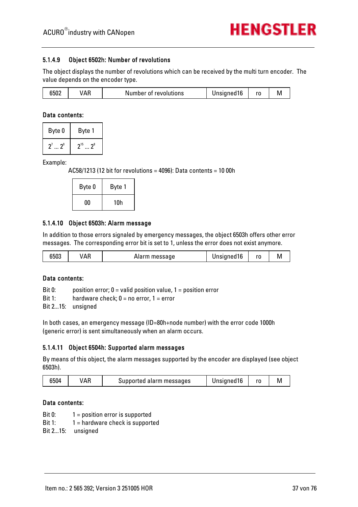#### 5.1.4.9 Object 6502h: Number of revolutions

The object displays the number of revolutions which can be received by the multi turn encoder. The value depends on the encoder type.

| - ^ ^<br>שכר∟ | 'ΛL<br>$\overline{\phantom{0}}$ | Number of revolutions<br>ועו | 1000000000<br>sianea i<br>n | rr | N |  |
|---------------|---------------------------------|------------------------------|-----------------------------|----|---|--|
|---------------|---------------------------------|------------------------------|-----------------------------|----|---|--|

#### Data contents:

| Byte 0       | Byte 1   |
|--------------|----------|
| າ            | $2^{15}$ |
| $2^{\prime}$ | າະ       |

Example:

AC58/1213 (12 bit for revolutions = 4096): Data contents = 10 00h

| Byte 0 | Byte 1 |
|--------|--------|
| NU     | 10h    |

#### 5.1.4.10 Object 6503h: Alarm message

In addition to those errors signaled by emergency messages, the object 6503h offers other error messages. The corresponding error bit is set to 1, unless the error does not exist anymore.

| 6503<br>Jnsigned16<br>Alarm message<br>M<br>AU. |
|-------------------------------------------------|
|-------------------------------------------------|

#### Data contents:

Bit 0: position error;  $0 =$  valid position value,  $1 =$  position error Bit 1: hardware check;  $0 = no$  error,  $1 = error$ Bit 2...15: unsigned

In both cases, an emergency message (ID=80h+node number) with the error code 1000h (generic error) is sent simultaneously when an alarm occurs.

#### 5.1.4.11 Object 6504h: Supported alarm messages

By means of this object, the alarm messages supported by the encoder are displayed (see object 6503h).

| 6504<br>16<br>ΛE<br>Supported alarm messages<br>rr<br>Jnsianed<br>. |
|---------------------------------------------------------------------|
|---------------------------------------------------------------------|

#### Data contents:

| Bit 0: | $1 =$ position error is supported |
|--------|-----------------------------------|
| Bit 1: | $1 =$ hardware check is supported |

Bit 2...15: unsigned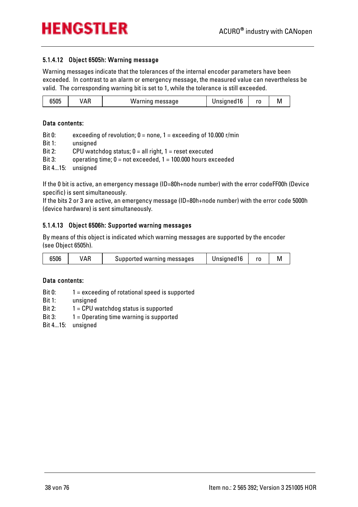#### 5.1.4.12 Object 6505h: Warning message

Warning messages indicate that the tolerances of the internal encoder parameters have been exceeded. In contrast to an alarm or emergency message, the measured value can nevertheless be valid. The corresponding warning bit is set to 1, while the tolerance is still exceeded.

| 6505<br>$J \wedge$<br>ΗU. | Warning message | Unsigned16 | rc | IV. |
|---------------------------|-----------------|------------|----|-----|
|---------------------------|-----------------|------------|----|-----|

#### Data contents:

| Bit 0:   | exceeding of revolution; $0 =$ none, $1 =$ exceeding of 10.000 r/min |
|----------|----------------------------------------------------------------------|
| Bit 1:   | unsigned                                                             |
| Bit $2:$ | CPU watchdog status; $0 =$ all right, $1 =$ reset executed           |
| Bit 3:   | operating time; $0 = not exceeded$ , $1 = 100.000$ hours exceeded    |
| Bit 415: | unsigned                                                             |

If the 0 bit is active, an emergency message (ID=80h+node number) with the error codeFF00h (Device specific) is sent simultaneously.

If the bits 2 or 3 are active, an emergency message (ID=80h+node number) with the error code 5000h (device hardware) is sent simultaneously.

#### 5.1.4.13 Object 6506h: Supported warning messages

By means of this object is indicated which warning messages are supported by the encoder (see Object 6505h).

| 6506<br>ノハム<br>Jnsigned16<br>Supported warning messages |
|---------------------------------------------------------|
|---------------------------------------------------------|

#### Data contents:

- Bit 0: 1 = exceeding of rotational speed is supported
- Bit 1: unsigned
- Bit 2:  $1 = CPU$  watchdog status is supported
- Bit 3: 1 = Operating time warning is supported
- Bit 4...15: unsigned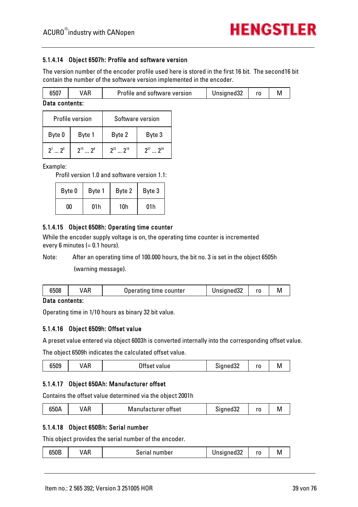### 5.1.4.14 Object 6507h: Profile and software version

The version number of the encoder profile used here is stored in the first 16 bit. The second16 bit contain the number of the software version implemented in the encoder.

| and software version<br>Profile<br>b5U.<br>п. | ∵∙ລເບ⊔∪ບ∠ | --- | IV |
|-----------------------------------------------|-----------|-----|----|
|-----------------------------------------------|-----------|-----|----|

#### Data contents:

| Profile version |                | Software version  |                   |  |
|-----------------|----------------|-------------------|-------------------|--|
| Byte 0          | Byte 1         | Byte 2            | Byte 3            |  |
| $2^7 \dots 2^0$ | $2^{15}$ $2^8$ | $2^{23}$ $2^{16}$ | $2^{31}$ $2^{24}$ |  |

Example:

Profil version 1.0 and software version 1.1:

| Byte 0 | Byte 1 | Byte 2 | Byte 3 |
|--------|--------|--------|--------|
| 00     | 01h    | 10h    | 01h    |

#### 5.1.4.15 Object 6508h: Operating time counter

While the encoder supply voltage is on, the operating time counter is incremented every 6 minutes  $(= 0.1$  hours).

Note: After an operating time of 100.000 hours, the bit no. 3 is set in the object 6505h

(warning message).

| 6508           | √AP | Operating time counter | Unsigned32 | rr |  |  |
|----------------|-----|------------------------|------------|----|--|--|
| Dota contanto: |     |                        |            |    |  |  |

#### Data contents:

Operating time in 1/10 hours as binary 32 bit value.

#### 5.1.4.16 Object 6509h: Offset value

A preset value entered via object 6003h is converted internally into the corresponding offset value.

The object 6509h indicates the calculated offset value.

| 6509 | ۱۸۲.<br>$^{\prime}$ An | Tffset value | ההו<br>. IMMAN<br>שטשויי∟ |  | M |
|------|------------------------|--------------|---------------------------|--|---|
|------|------------------------|--------------|---------------------------|--|---|

#### 5.1.4.17 Object 650Ah: Manufacturer offset

Contains the offset value determined via the object 2001h

| Manufacturer offset<br>∵nnedلr'`<br>ΙVΙ<br>п. |
|-----------------------------------------------|
|-----------------------------------------------|

#### 5.1.4.18 Object 650Bh: Serial number

This object provides the serial number of the encoder.

| , <b>. .</b> .<br>៲າດເ | ' A D<br>.<br>,,,,, | number<br>ו הו | ההו<br>.<br>JUJZ. | r o | M |
|------------------------|---------------------|----------------|-------------------|-----|---|
|------------------------|---------------------|----------------|-------------------|-----|---|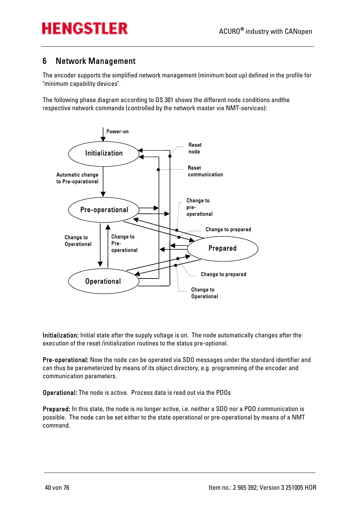## 6 Network Management

The encoder supports the simplified network management (minimum boot up) defined in the profile for "minimum capability devices".

The following phase diagram according to DS 301 shows the different node conditions andthe respective network commands (controlled by the network master via NMT-services):



Initialization: Initial state after the supply voltage is on. The node automatically changes after the execution of the reset /initialization routines to the status pre-optional.

Pre-operational: Now the node can be operated via SDO messages under the standard identifier and can thus be parameterized by means of its object directory, e.g. programming of the encoder and communication parameters.

Operational: The node is active. Process data is read out via the PDOs

Prepared: In this state, the node is no longer active, i.e. neither a SDO nor a PDO communication is possible. The node can be set either to the state operational or pre-operational by means of a NMT command.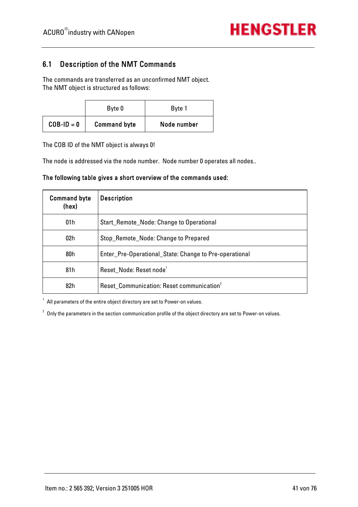## 6.1 Description of the NMT Commands

The commands are transferred as an unconfirmed NMT object. The NMT object is structured as follows:

|              | Byte 0              | Byte 1      |
|--------------|---------------------|-------------|
| $COB-ID = 0$ | <b>Command byte</b> | Node number |

The COB ID of the NMT object is always 0!

The node is addressed via the node number. Node number 0 operates all nodes..

#### The following table gives a short overview of the commands used:

| <b>Command byte</b><br>(hex) | <b>Description</b>                                     |
|------------------------------|--------------------------------------------------------|
| 01h                          | Start_Remote_Node: Change to Operational               |
| 02h                          | Stop_Remote_Node: Change to Prepared                   |
| 80h                          | Enter_Pre-Operational_State: Change to Pre-operational |
| 81h                          | Reset Node: Reset node <sup>1</sup>                    |
| 82h                          | Reset Communication: Reset communication <sup>2</sup>  |

 $^{\rm ^{1}}$  All parameters of the entire object directory are set to Power-on values.

 $^{\rm 2}$  Only the parameters in the section communication profile of the object directory are set to Power-on values.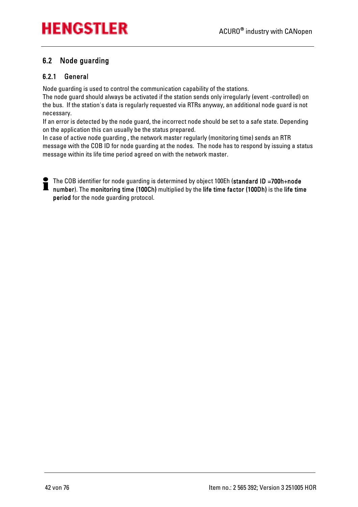## 6.2 Node guarding

### 6.2.1 General

Node guarding is used to control the communication capability of the stations.

The node guard should always be activated if the station sends only irregularly (event -controlled) on the bus. If the station's data is regularly requested via RTRs anyway, an additional node guard is not necessary.

If an error is detected by the node guard, the incorrect node should be set to a safe state. Depending on the application this can usually be the status prepared.

In case of active node guarding , the network master regularly (monitoring time) sends an RTR message with the COB ID for node guarding at the nodes. The node has to respond by issuing a status message within its life time period agreed on with the network master.

The COB identifier for node guarding is determined by object 100Eh (standard ID =700h+node  $\blacksquare$ number). The monitoring time (100Ch) multiplied by the life time factor (100Dh) is the life time period for the node guarding protocol.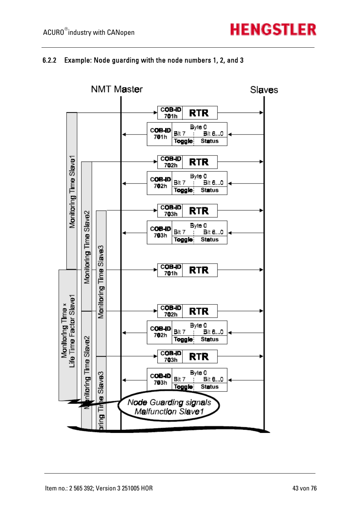

## 6.2.2 Example: Node guarding with the node numbers 1, 2, and 3

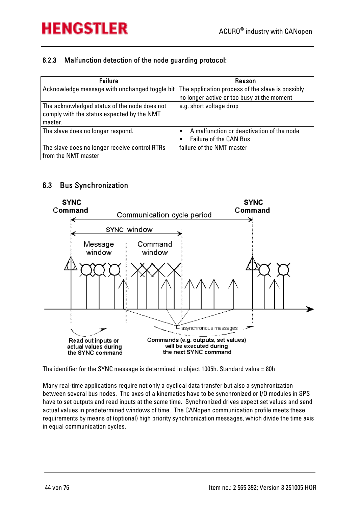## 6.2.3 Malfunction detection of the node guarding protocol:

| <b>Failure</b>                                                                                        | Reason                                         |
|-------------------------------------------------------------------------------------------------------|------------------------------------------------|
| Acknowledge message with unchanged toggle bit The application process of the slave is possibly        |                                                |
|                                                                                                       | no longer active or too busy at the moment     |
| The acknowledged status of the node does not<br>comply with the status expected by the NMT<br>master. | e.g. short voltage drop                        |
| The slave does no longer respond.                                                                     | A malfunction or deactivation of the node<br>п |
|                                                                                                       | <b>Failure of the CAN Bus</b>                  |
| The slave does no longer receive control RTRs                                                         | failure of the NMT master                      |
| from the NMT master                                                                                   |                                                |

## 6.3 Bus Synchronization



The identifier for the SYNC message is determined in object 1005h. Standard value = 80h

Many real-time applications require not only a cyclical data transfer but also a synchronization between several bus nodes. The axes of a kinematics have to be synchronized or I/O modules in SPS have to set outputs and read inputs at the same time. Synchronized drives expect set values and send actual values in predetermined windows of time. The CANopen communication profile meets these requirements by means of (optional) high priority synchronization messages, which divide the time axis in equal communication cycles.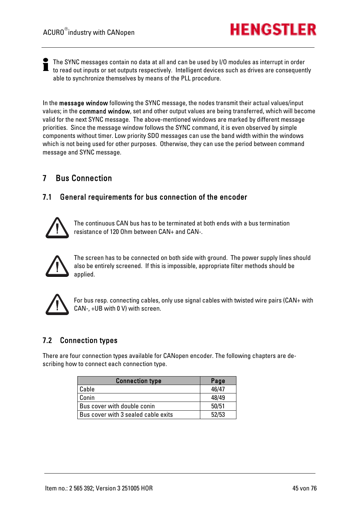The SYNC messages contain no data at all and can be used by I/O modules as interrupt in order  $\blacksquare$ to read out inputs or set outputs respectively. Intelligent devices such as drives are consequently able to synchronize themselves by means of the PLL procedure.

**HENGSTLER** 

In the message window following the SYNC message, the nodes transmit their actual values/input values; in the command window, set and other output values are being transferred, which will become valid for the next SYNC message. The above-mentioned windows are marked by different message priorities. Since the message window follows the SYNC command, it is even observed by simple components without timer. Low priority SDO messages can use the band width within the windows which is not being used for other purposes. Otherwise, they can use the period between command message and SYNC message.

## 7 Bus Connection

## 7.1 General requirements for bus connection of the encoder



The continuous CAN bus has to be terminated at both ends with a bus termination resistance of 120 Ohm between CAN+ and CAN-.



The screen has to be connected on both side with ground. The power supply lines should also be entirely screened. If this is impossible, appropriate filter methods should be applied.



For bus resp. connecting cables, only use signal cables with twisted wire pairs (CAN+ with CAN-, +UB with 0 V) with screen.

## 7.2 Connection types

There are four connection types available for CANopen encoder. The following chapters are describing how to connect each connection type.

| <b>Connection type</b>              | Page  |
|-------------------------------------|-------|
| Cable                               | 46/47 |
| Conin                               | 48/49 |
| Bus cover with double conin         | 50/51 |
| Bus cover with 3 sealed cable exits | 52/53 |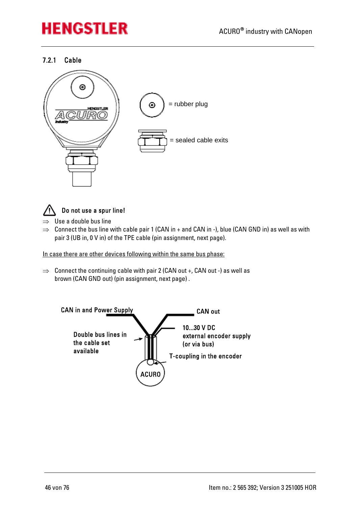### 7.2.1 Cable





- $\Rightarrow$  Use a double bus line
- $\Rightarrow$  Connect the bus line with cable pair 1 (CAN in + and CAN in -), blue (CAN GND in) as well as with pair 3 (UB in, 0 V in) of the TPE cable (pin assignment, next page).

In case there are other devices following within the same bus phase:

 $\Rightarrow$  Connect the continuing cable with pair 2 (CAN out +, CAN out -) as well as brown (CAN GND out) (pin assignment, next page) .

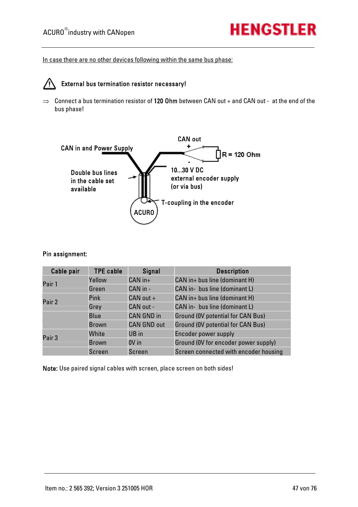In case there are no other devices following within the same bus phase:

#### External bus termination resistor necessary! /\'

 $\Rightarrow$  Connect a bus termination resistor of 120 Ohm between CAN out + and CAN out - at the end of the bus phase!



#### Pin assignment:

| Cable pair        | <b>TPE cable</b> | <b>Signal</b>      | <b>Description</b>                       |
|-------------------|------------------|--------------------|------------------------------------------|
| Pair 1            | Yellow           | $CAN$ in+          | CAN in+ bus line (dominant H)            |
|                   | Green            | CAN in -           | CAN in- bus line (dominant L)            |
| Pair 2            | <b>Pink</b>      | CAN out +          | CAN in+ bus line (dominant H)            |
|                   | Grey             | CAN out -          | CAN in- bus line (dominant L)            |
|                   | <b>Blue</b>      | <b>CAN GND in</b>  | <b>Ground (OV potential for CAN Bus)</b> |
|                   | <b>Brown</b>     | <b>CAN GND out</b> | Ground (OV potential for CAN Bus)        |
| Pair <sub>3</sub> | White            | UB in              | Encoder power supply                     |
|                   | <b>Brown</b>     | $0V$ in            | Ground (OV for encoder power supply)     |
|                   | <b>Screen</b>    | <b>Screen</b>      | Screen connected with encoder housing    |

Note: Use paired signal cables with screen, place screen on both sides!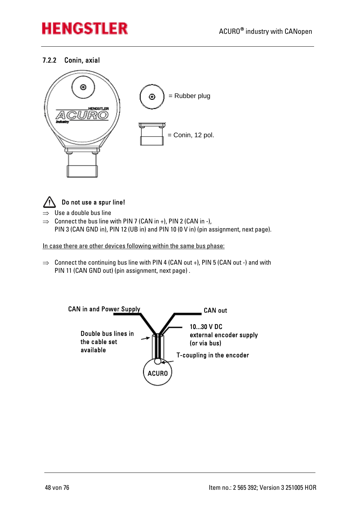### 7.2.2 Conin, axial





### Do not use a spur line!

- $\Rightarrow$  Use a double bus line
- $\Rightarrow$  Connect the bus line with PIN 7 (CAN in +), PIN 2 (CAN in -), PIN 3 (CAN GND in), PIN 12 (UB in) and PIN 10 (0 V in) (pin assignment, next page).

In case there are other devices following within the same bus phase:

 $\Rightarrow$  Connect the continuing bus line with PIN 4 (CAN out +), PIN 5 (CAN out -) and with PIN 11 (CAN GND out) (pin assignment, next page) .

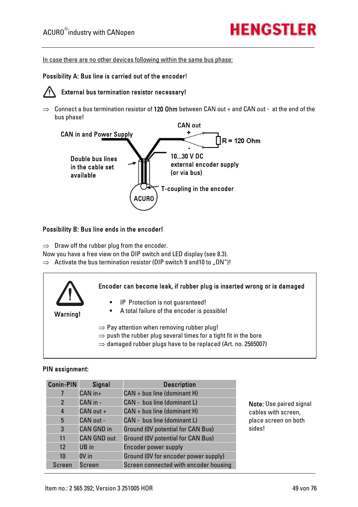In case there are no other devices following within the same bus phase:

#### Possibility A: Bus line is carried out of the encoder!



#### External bus termination resistor necessary!

 $\Rightarrow$  Connect a bus termination resistor of 120 Ohm between CAN out + and CAN out - at the end of the bus phase!



#### Possibility B: Bus line ends in the encoder!

- $\Rightarrow$  Draw off the rubber plug from the encoder.
- Now you have a free view on the DIP switch and LED display (see 8.3).
- $\Rightarrow$  Activate the bus termination resistor (DIP switch 9 and 10 to "ON")!



#### PIN assignment:

| Conin-PIN      | <b>Signal</b>      | <b>Description</b>                       |                         |
|----------------|--------------------|------------------------------------------|-------------------------|
| 7              | $CAN$ in+          | CAN + bus line (dominant H)              |                         |
| $\overline{2}$ | CAN in -           | CAN - bus line (dominant L)              | Note: Use paired signal |
| 4              | $CAM out +$        | $CAN + bus$ line (dominant H)            | cables with screen,     |
| 5              | CAN out -          | CAN - bus line (dominant L)              | place screen on both    |
| 3              | <b>CAN GND in</b>  | Ground (OV potential for CAN Bus)        | sides!                  |
| 11             | <b>CAN GND out</b> | <b>Ground (OV potential for CAN Bus)</b> |                         |
| 12             | UB in              | Encoder power supply                     |                         |
| 10             | 0V in              | Ground (OV for encoder power supply)     |                         |
| <b>Screen</b>  | Screen             | Screen connected with encoder housing    |                         |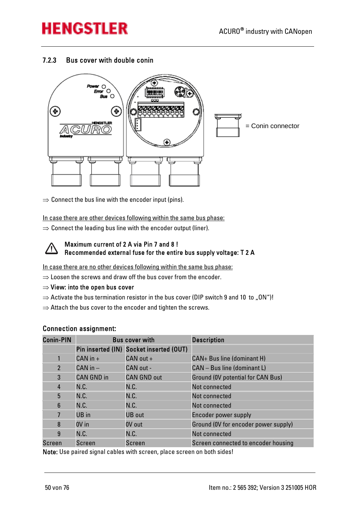## 7.2.3 Bus cover with double conin



 $\Rightarrow$  Connect the bus line with the encoder input (pins).

In case there are other devices following within the same bus phase:

 $\Rightarrow$  Connect the leading bus line with the encoder output (liner).



#### Maximum current of 2 A via Pin 7 and 8 ! Recommended external fuse for the entire bus supply voltage: T 2 A

In case there are no other devices following within the same bus phase:

- $\Rightarrow$  Loosen the screws and draw off the bus cover from the encoder.
- ⇒ View: into the open bus cover
- $\Rightarrow$  Activate the bus termination resistor in the bus cover (DIP switch 9 and 10 to "ON")!
- $\Rightarrow$  Attach the bus cover to the encoder and tighten the screws.

| <b>Conin-PIN</b> | <b>Bus cover with</b> |                                         | <b>Description</b>                   |
|------------------|-----------------------|-----------------------------------------|--------------------------------------|
|                  |                       | Pin inserted (IN) Socket inserted (OUT) |                                      |
|                  | $CAN$ in $+$          | $CAN$ out +                             | CAN+ Bus line (dominant H)           |
| $\overline{2}$   | $CAN$ in $-$          | CAN out -                               | CAN - Bus line (dominant L)          |
| 3                | <b>CAN GND in</b>     | <b>CAN GND out</b>                      | Ground (OV potential for CAN Bus)    |
| 4                | N.C.                  | N.C.                                    | Not connected                        |
| 5                | N.C.                  | N.C.                                    | Not connected                        |
| $6\phantom{1}6$  | N.C.                  | N.C.                                    | Not connected                        |
| 7                | UB in                 | <b>UB</b> out                           | Encoder power supply                 |
| 8                | $0V$ in               | 0V out                                  | Ground (OV for encoder power supply) |
| 9                | N.C.                  | N.C.                                    | Not connected                        |
| Screen           | <b>Screen</b>         | Screen                                  | Screen connected to encoder housing  |

### Connection assignment:

Note: Use paired signal cables with screen, place screen on both sides!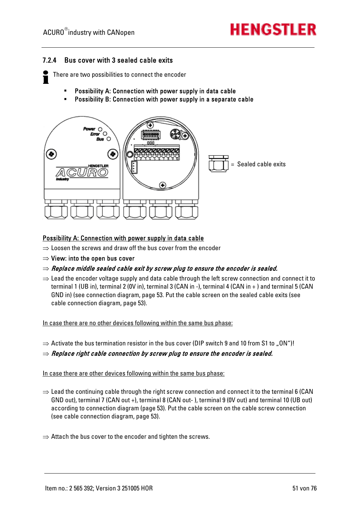### 7.2.4 Bus cover with 3 sealed cable exits

There are two possibilities to connect the encoder

- Possibility A: Connection with power supply in data cable
- Possibility B: Connection with power supply in a separate cable



#### Possibility A: Connection with power supply in data cable

- $\Rightarrow$  Loosen the screws and draw off the bus cover from the encoder
- $\Rightarrow$  View: into the open bus cover
- $\Rightarrow$  Replace middle sealed cable exit by screw plug to ensure the encoder is sealed.
- $\Rightarrow$  Lead the encoder voltage supply and data cable through the left screw connection and connect it to terminal 1 (UB in), terminal 2 (0V in), terminal 3 (CAN in -), terminal 4 (CAN in + ) and terminal 5 (CAN GND in) (see connection diagram, page 53. Put the cable screen on the sealed cable exits (see cable connection diagram, page 53).

In case there are no other devices following within the same bus phase:

- $\Rightarrow$  Activate the bus termination resistor in the bus cover (DIP switch 9 and 10 from S1 to "ON")!
- $\Rightarrow$  Replace right cable connection by screw plug to ensure the encoder is sealed.

In case there are other devices following within the same bus phase:

- $\Rightarrow$  Lead the continuing cable through the right screw connection and connect it to the terminal 6 (CAN GND out), terminal 7 (CAN out +), terminal 8 (CAN out- ), terminal 9 (0V out) and terminal 10 (UB out) according to connection diagram (page 53). Put the cable screen on the cable screw connection (see cable connection diagram, page 53).
- $\Rightarrow$  Attach the bus cover to the encoder and tighten the screws.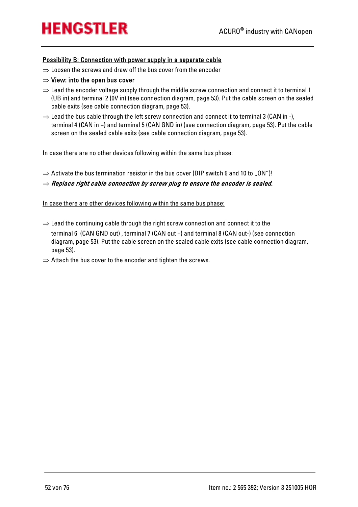#### Possibility B: Connection with power supply in a separate cable

- $\Rightarrow$  Loosen the screws and draw off the bus cover from the encoder
- $\Rightarrow$  View: into the open bus cover
- $\Rightarrow$  Lead the encoder voltage supply through the middle screw connection and connect it to terminal 1 (UB in) and terminal 2 (0V in) (see connection diagram, page 53). Put the cable screen on the sealed cable exits (see cable connection diagram, page 53).
- $\Rightarrow$  Lead the bus cable through the left screw connection and connect it to terminal 3 (CAN in -), terminal 4 (CAN in +) and terminal 5 (CAN GND in) (see connection diagram, page 53). Put the cable screen on the sealed cable exits (see cable connection diagram, page 53).

In case there are no other devices following within the same bus phase:

 $\Rightarrow$  Activate the bus termination resistor in the bus cover (DIP switch 9 and 10 to "ON")!

 $\Rightarrow$  Replace right cable connection by screw plug to ensure the encoder is sealed.

In case there are other devices following within the same bus phase:

- $\Rightarrow$  Lead the continuing cable through the right screw connection and connect it to the terminal 6 (CAN GND out) , terminal 7 (CAN out +) and terminal 8 (CAN out-) (see connection diagram, page 53). Put the cable screen on the sealed cable exits (see cable connection diagram, page 53).
- $\Rightarrow$  Attach the bus cover to the encoder and tighten the screws.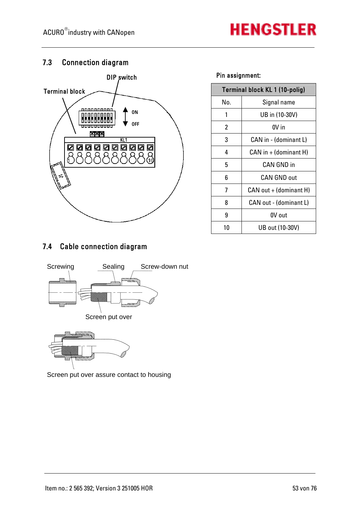

## 7.3 Connection diagram



| Pin assignment: |  |
|-----------------|--|

| <b>Terminal block KL 1 (10-polig)</b> |                        |  |
|---------------------------------------|------------------------|--|
| No.                                   | Signal name            |  |
| 1                                     | UB in (10-30V)         |  |
| 2                                     | 0V in                  |  |
| 3                                     | CAN in - (dominant L)  |  |
| 4                                     | CAN in + (dominant H)  |  |
| 5                                     | CAN GND in             |  |
| 6                                     | CAN GND out            |  |
| 7                                     | CAN out + (dominant H) |  |
| 8                                     | CAN out - (dominant L) |  |
| 9                                     | OV out                 |  |
| 10                                    | UB out (10-30V)        |  |

## 7.4 Cable connection diagram





Screen put over assure contact to housing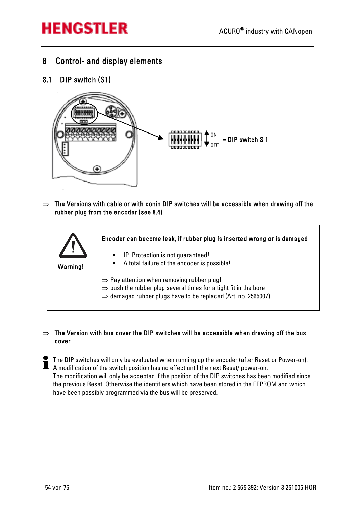## 8 Control- and display elements

## 8.1 DIP switch (S1)



 $\Rightarrow$  The Versions with cable or with conin DIP switches will be accessible when drawing off the rubber plug from the encoder (see 8.4)



### $\Rightarrow$  The Version with bus cover the DIP switches will be accessible when drawing off the bus cover

The DIP switches will only be evaluated when running up the encoder (after Reset or Power-on). A modification of the switch position has no effect until the next Reset/ power-on. The modification will only be accepted if the position of the DIP switches has been modified since the previous Reset. Otherwise the identifiers which have been stored in the EEPROM and which have been possibly programmed via the bus will be preserved.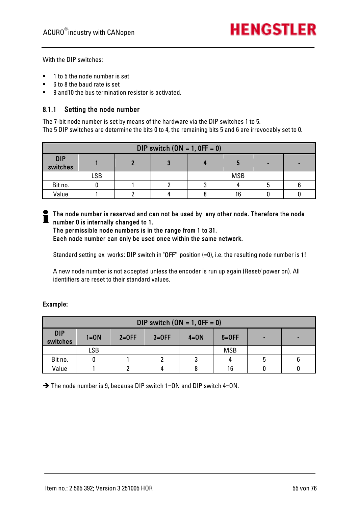With the DIP switches:

- 1 to 5 the node number is set
- 6 to 8 the baud rate is set
- 9 and 10 the bus termination resistor is activated.

### 8.1.1 Setting the node number

The 7-bit node number is set by means of the hardware via the DIP switches 1 to 5. The 5 DIP switches are determine the bits 0 to 4, the remaining bits 5 and 6 are irrevocably set to 0.

| DIP switch $(ON = 1, OFF = 0)$ |     |  |  |  |            |  |  |
|--------------------------------|-----|--|--|--|------------|--|--|
| <b>DIP</b><br>switches         |     |  |  |  |            |  |  |
|                                | LSB |  |  |  | <b>MSB</b> |  |  |
| Bit no.                        |     |  |  |  |            |  |  |
| Value                          |     |  |  |  | 16         |  |  |

### The node number is reserved and can not be used by any other node. Therefore the node number 0 is internally changed to 1.

The permissible node numbers is in the range from 1 to 31. Each node number can only be used once within the same network.

Standard setting ex works: DIP switch in "OFF" position (=0), i.e. the resulting node number is 1!

A new node number is not accepted unless the encoder is run up again (Reset/ power on). All identifiers are reset to their standard values.

### Example:

| <b>DIP switch (ON = 1, OFF = 0)</b> |            |          |          |        |            |  |
|-------------------------------------|------------|----------|----------|--------|------------|--|
| <b>DIP</b><br>switches              | $1=0N$     | $2=0$ FF | $3=0$ FF | $4=0N$ | $5=0$ FF   |  |
|                                     | <b>LSB</b> |          |          |        | <b>MSB</b> |  |
| Bit no.                             |            |          |          |        |            |  |
| Value                               |            |          |          |        | 16         |  |

 $\rightarrow$  The node number is 9, because DIP switch 1=0N and DIP switch 4=0N.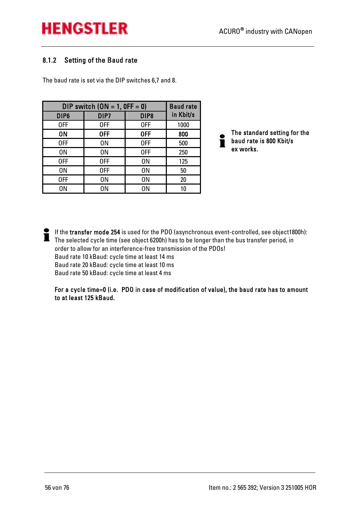## 8.1.2 Setting of the Baud rate

The baud rate is set via the DIP switches 6,7 and 8.

| DIP switch $(ON = 1, OFF = 0)$ | <b>Baud rate</b> |                  |           |
|--------------------------------|------------------|------------------|-----------|
| DIP <sub>6</sub>               | DIP7             | DIP <sub>8</sub> | in Kbit/s |
| 0FF                            | 0FF              | 0FF              | 1000      |
| 0N                             | 0FF              | 0FF              | 800       |
| 0FF                            | 0N               | 0FF              | 500       |
| 0N                             | 0N               | 0FF              | 250       |
| 0FF                            | 0FF              | 0N               | 125       |
| 0N                             | 0FF              | 0N               | 50        |
| 0FF                            | 0N               | 0N               | 20        |
| 0N                             | 0N               | ΟN               | 10        |



If the transfer mode 254 is used for the PDO (asynchronous event-controlled, see object1800h): The selected cycle time (see object 6200h) has to be longer than the bus transfer period, in order to allow for an interference-free transmission of the PDOs! Baud rate 10 kBaud: cycle time at least 14 ms Baud rate 20 kBaud: cycle time at least 10 ms Baud rate 50 kBaud: cycle time at least 4 ms

For a cycle time=0 (i.e. PDO in case of modification of value), the baud rate has to amount to at least 125 kBaud.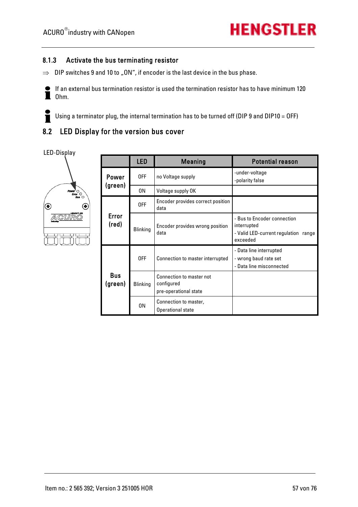## 8.1.3 Activate the bus terminating resistor

 $\Rightarrow$  DIP switches 9 and 10 to "ON", if encoder is the last device in the bus phase.

 $\bullet$  If an external bus termination resistor is used the termination resistor has to have minimum 120  $\blacksquare$  Ohm.

Using a terminator plug, the internal termination has to be turned off (DIP 9 and DIP10 = OFF)

## 8.2 LED Display for the version bus cover

#### LED-Display

i



|                       | <b>LED</b>                                                 | <b>Meaning</b>                                                  | <b>Potential reason</b>                                                                        |
|-----------------------|------------------------------------------------------------|-----------------------------------------------------------------|------------------------------------------------------------------------------------------------|
| Power<br>(green)      | 0FF                                                        | no Voltage supply                                               | -under-voltage<br>-polarity false                                                              |
|                       | 0N                                                         | Voltage supply OK                                               |                                                                                                |
|                       | 0FF                                                        | Encoder provides correct position<br>data                       |                                                                                                |
| <b>Error</b><br>(red) | Encoder provides wrong position<br><b>Blinking</b><br>data |                                                                 | - Bus to Encoder connection<br>interrupted<br>- Valid LED-current regulation range<br>exceeded |
|                       | 0FF                                                        | Connection to master interrupted                                | - Data line interrupted<br>- wrong baud rate set<br>- Data line misconnected                   |
| <b>Bus</b><br>(green) | <b>Blinking</b>                                            | Connection to master not<br>configured<br>pre-operational state |                                                                                                |
|                       | 0N                                                         | Connection to master,<br>Operational state                      |                                                                                                |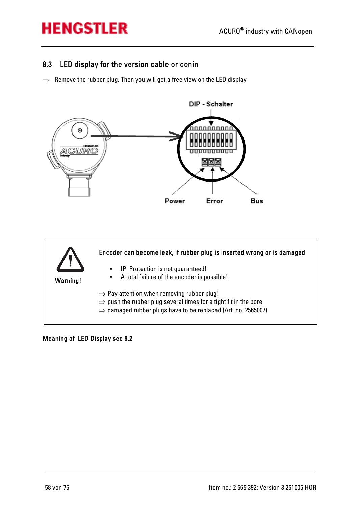## 8.3 LED display for the version cable or conin

 $\Rightarrow$  Remove the rubber plug. Then you will get a free view on the LED display





Meaning of LED Display see 8.2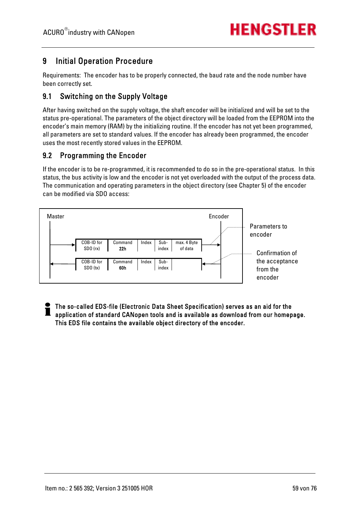## 9 Initial Operation Procedure

Requirements: The encoder has to be properly connected, the baud rate and the node number have been correctly set.

## 9.1 Switching on the Supply Voltage

After having switched on the supply voltage, the shaft encoder will be initialized and will be set to the status pre-operational. The parameters of the object directory will be loaded from the EEPROM into the encoder's main memory (RAM) by the initializing routine. If the encoder has not yet been programmed, all parameters are set to standard values. If the encoder has already been programmed, the encoder uses the most recently stored values in the EEPROM.

## 9.2 Programming the Encoder

If the encoder is to be re-programmed, it is recommended to do so in the pre-operational status. In this status, the bus activity is low and the encoder is not yet overloaded with the output of the process data. The communication and operating parameters in the object directory (see Chapter 5) of the encoder can be modified via SDO access:



The so-called EDS-file (Electronic Data Sheet Specification) serves as an aid for the ı application of standard CANopen tools and is available as download from our homepage. This EDS file contains the available object directory of the encoder.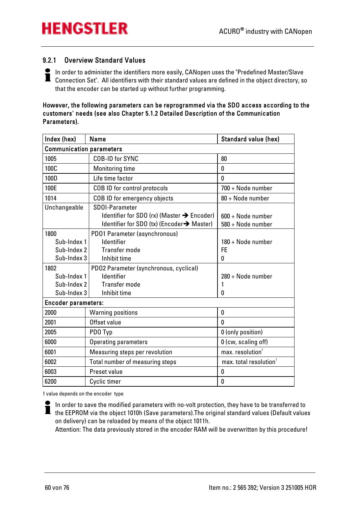## 9.2.1 Overview Standard Values

**In order to administer the identifiers more easily, CANopen uses the "Predefined Master/Slave"** Connection Set". All identifiers with their standard values are defined in the object directory, so that the encoder can be started up without further programming.

#### However, the following parameters can be reprogrammed via the SDO access according to the customers' needs (see also Chapter 5.1.2 Detailed Description of the Communication Parameters).

| Index (hex)                     | <b>Name</b>                                                                                                | <b>Standard value (hex)</b>            |  |  |  |
|---------------------------------|------------------------------------------------------------------------------------------------------------|----------------------------------------|--|--|--|
| <b>Communication parameters</b> |                                                                                                            |                                        |  |  |  |
| 1005                            | <b>COB-ID for SYNC</b>                                                                                     | 80                                     |  |  |  |
| 100C                            | Monitoring time                                                                                            | 0                                      |  |  |  |
| 100D                            | Life time factor                                                                                           | 0                                      |  |  |  |
| 100E                            | <b>COB ID for control protocols</b>                                                                        | 700 + Node number                      |  |  |  |
| 1014                            | COB ID for emergency objects                                                                               | 80 + Node number                       |  |  |  |
| Unchangeable                    | SDOI-Parameter<br>Identifier for SDO (rx) (Master → Encoder)<br>Identifier for SDO (tx) (Encoder > Master) | 600 + Node number<br>580 + Node number |  |  |  |
| 1800                            | PD01 Parameter (asynchronous)                                                                              |                                        |  |  |  |
| Sub-Index 1                     | Identifier                                                                                                 | 180 + Node number                      |  |  |  |
| Sub-Index 2                     | <b>Transfer mode</b>                                                                                       | <b>FE</b>                              |  |  |  |
| Sub-Index 3                     | Inhibit time                                                                                               | 0                                      |  |  |  |
| 1802                            | PD02 Parameter (synchronous, cyclical)                                                                     |                                        |  |  |  |
| Sub-Index 1                     | Identifier                                                                                                 | 280 + Node number                      |  |  |  |
| Sub-Index 2                     | <b>Transfer mode</b>                                                                                       | 1                                      |  |  |  |
| Sub-Index 3                     | Inhibit time                                                                                               | 0                                      |  |  |  |
| <b>Encoder parameters:</b>      |                                                                                                            |                                        |  |  |  |
| 2000                            | <b>Warning positions</b>                                                                                   | 0                                      |  |  |  |
| 2001                            | Offset value                                                                                               | 0                                      |  |  |  |
| 2005                            | PDO Typ                                                                                                    | 0 (only position)                      |  |  |  |
| 6000                            | <b>Operating parameters</b>                                                                                | 0 (cw, scaling off)                    |  |  |  |
| 6001                            | Measuring steps per revolution                                                                             | max. resolution <sup>1</sup>           |  |  |  |
| 6002                            | Total number of measuring steps                                                                            | max. total resolution <sup>1</sup>     |  |  |  |
| 6003                            | Preset value                                                                                               | 0                                      |  |  |  |
| 6200                            | Cyclic timer                                                                                               | 0                                      |  |  |  |

1 value depends on the encoder type

In order to save the modified parameters with no-volt protection, they have to be transferred to the EEPROM via the object 1010h (Save parameters). The original standard values (Default values on delivery) can be reloaded by means of the object 1011h.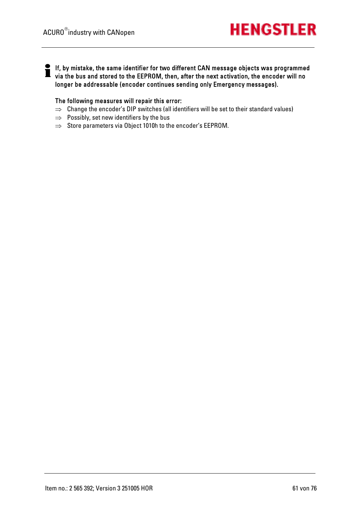If, by mistake, the same identifier for two different CAN message objects was programmed via the bus and stored to the EEPROM, then, after the next activation, the encoder will no longer be addressable (encoder continues sending only Emergency messages).

**HENGSTLER** 

#### The following measures will repair this error:

- $\Rightarrow$  Change the encoder's DIP switches (all identifiers will be set to their standard values)
- $\Rightarrow$  Possibly, set new identifiers by the bus
- ⇒ Store parameters via Object 1010h to the encoder's EEPROM.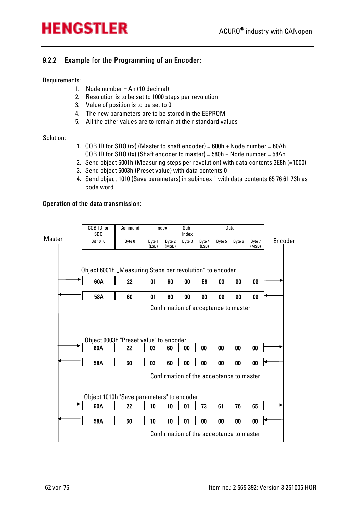## 9.2.2 Example for the Programming of an Encoder:

Requirements:

- 1. Node number = Ah (10 decimal)
- 2. Resolution is to be set to 1000 steps per revolution
- 3. Value of position is to be set to 0
- 4. The new parameters are to be stored in the EEPROM
- 5. All the other values are to remain at their standard values

#### Solution:

- 1. COB ID for SDO (rx) (Master to shaft encoder) = 600h + Node number = 60Ah COB ID for SDO (tx) (Shaft encoder to master) = 580h + Node number = 58Ah
- 2. Send object 6001h (Measuring steps per revolution) with data contents 3E8h (=1000)
- 3. Send object 6003h (Preset value) with data contents 0
- 4. Send object 1010 (Save parameters) in subindex 1 with data contents 65 76 61 73h as code word

### Operation of the data transmission:

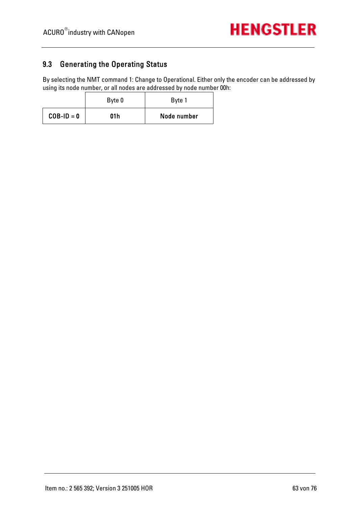## 9.3 Generating the Operating Status

By selecting the NMT command 1: Change to Operational. Either only the encoder can be addressed by using its node number, or all nodes are addressed by node number 00h:

|              | Byte 0 | Byte 1      |
|--------------|--------|-------------|
| $COB-ID = 0$ | 01 h   | Node number |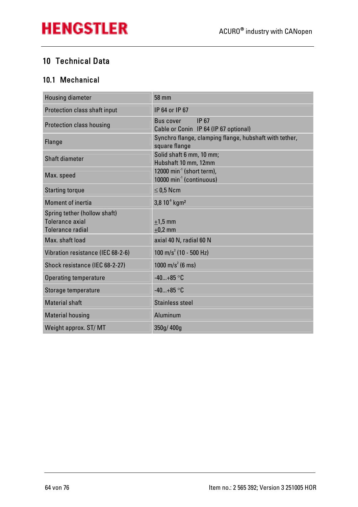## 10 Technical Data

## 10.1 Mechanical

| <b>Housing diameter</b>                                                           | <b>58 mm</b>                                                              |
|-----------------------------------------------------------------------------------|---------------------------------------------------------------------------|
| Protection class shaft input                                                      | IP 64 or IP 67                                                            |
| <b>Protection class housing</b>                                                   | <b>IP 67</b><br><b>Bus cover</b><br>Cable or Conin IP 64 (IP 67 optional) |
| Flange                                                                            | Synchro flange, clamping flange, hubshaft with tether,<br>square flange   |
| <b>Shaft diameter</b>                                                             | Solid shaft 6 mm, 10 mm;<br>Hubshaft 10 mm, 12mm                          |
| Max. speed                                                                        | 12000 $min-1$ (short term),<br>10000 min <sup>-1</sup> (continuous)       |
| <b>Starting torque</b>                                                            | $\leq$ 0,5 Ncm                                                            |
| <b>Moment of inertia</b>                                                          | $3,8$ 10 $^{6}$ kgm <sup>2</sup>                                          |
| Spring tether (hollow shaft)<br><b>Tolerance axial</b><br><b>Tolerance radial</b> | $+1,5$ mm<br>$+0.2$ mm                                                    |
| Max. shaft load                                                                   | axial 40 N, radial 60 N                                                   |
| Vibration resistance (IEC 68-2-6)                                                 | 100 m/s <sup>2</sup> (10 - 500 Hz)                                        |
| Shock resistance (IEC 68-2-27)                                                    | 1000 m/s <sup>2</sup> (6 ms)                                              |
| <b>Operating temperature</b>                                                      | $-40+85$ °C                                                               |
| Storage temperature                                                               | $-40+85$ °C                                                               |
| <b>Material shaft</b>                                                             | Stainless steel                                                           |
| <b>Material housing</b>                                                           | Aluminum                                                                  |
| Weight approx. ST/MT                                                              | 350g/400g                                                                 |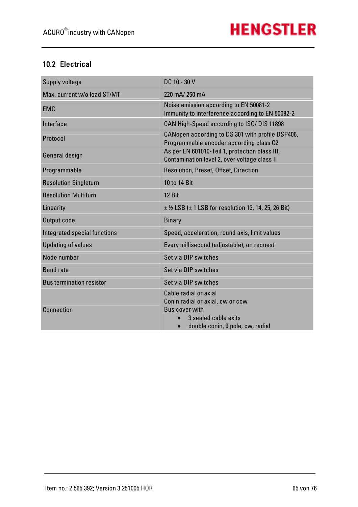## 10.2 Electrical

| Supply voltage                  | DC 10 - 30 V                                                                                                                                   |
|---------------------------------|------------------------------------------------------------------------------------------------------------------------------------------------|
| Max. current w/o load ST/MT     | 220 mA/250 mA                                                                                                                                  |
| <b>EMC</b>                      | Noise emission according to EN 50081-2<br>Immunity to interference according to EN 50082-2                                                     |
| Interface                       | CAN High-Speed according to ISO/ DIS 11898                                                                                                     |
| Protocol                        | CANopen according to DS 301 with profile DSP406,<br>Programmable encoder according class C2                                                    |
| General design                  | As per EN 601010-Teil 1, protection class III,<br>Contamination level 2, over voltage class II                                                 |
| Programmable                    | Resolution, Preset, Offset, Direction                                                                                                          |
| <b>Resolution Singleturn</b>    | 10 to 14 Bit                                                                                                                                   |
| <b>Resolution Multiturn</b>     | 12 Bit                                                                                                                                         |
| Linearity                       | ± ½ LSB (± 1 LSB for resolution 13, 14, 25, 26 Bit)                                                                                            |
| Output code                     | <b>Binary</b>                                                                                                                                  |
| Integrated special functions    | Speed, acceleration, round axis, limit values                                                                                                  |
| <b>Updating of values</b>       | Every millisecond (adjustable), on request                                                                                                     |
| Node number                     | Set via DIP switches                                                                                                                           |
| <b>Baud rate</b>                | Set via DIP switches                                                                                                                           |
| <b>Bus termination resistor</b> | Set via DIP switches                                                                                                                           |
| Connection                      | Cable radial or axial<br>Conin radial or axial, cw or ccw<br><b>Bus cover with</b><br>3 sealed cable exits<br>double conin, 9 pole, cw, radial |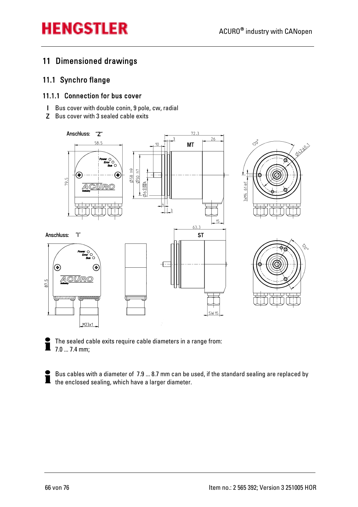## 11 Dimensioned drawings

## 11.1 Synchro flange

### 11.1.1 Connection for bus cover

- I Bus cover with double conin, 9 pole, cw, radial
- Z Bus cover with 3 sealed cable exits



- The sealed cable exits require cable diameters in a range from: Г 7.0 ... 7.4 mm;
- Bus cables with a diameter of 7.9 ... 8.7 mm can be used, if the standard sealing are replaced by ı the enclosed sealing, which have a larger diameter.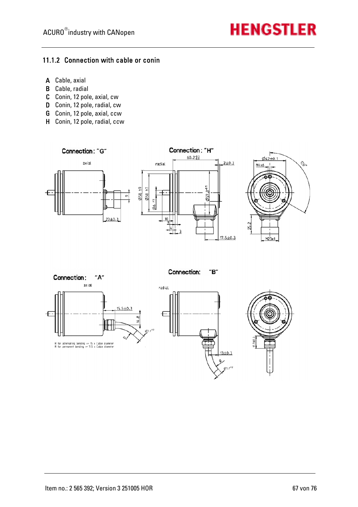## 11.1.2 Connection with cable or conin

- A Cable, axial
- B Cable, radial
- C Conin, 12 pole, axial, cw
- D Conin, 12 pole, radial, cw
- G Conin, 12 pole, axial, ccw
- H Conin, 12 pole, radial, ccw

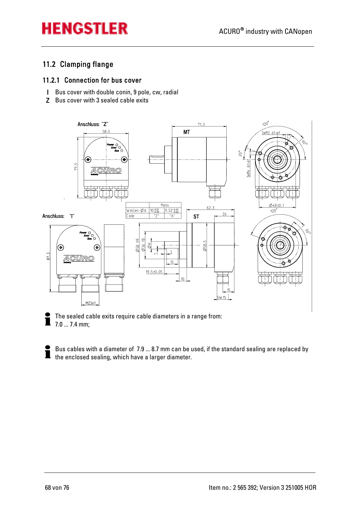## 11.2 Clamping flange

## 11.2.1 Connection for bus cover

- I Bus cover with double conin, 9 pole, cw, radial
- Z Bus cover with 3 sealed cable exits



- The sealed cable exits require cable diameters in a range from: 7.0 ... 7.4 mm;
- Bus cables with a diameter of 7.9 ... 8.7 mm can be used, if the standard sealing are replaced by the enclosed sealing, which have a larger diameter.

T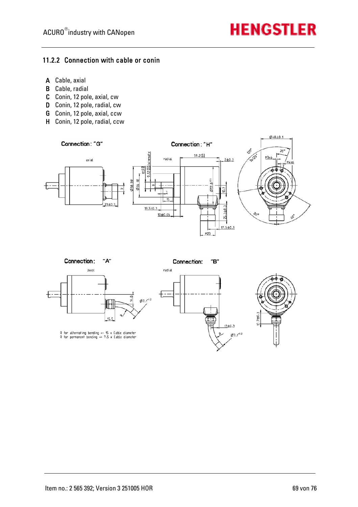## 11.2.2 Connection with cable or conin

- A Cable, axial
- B Cable, radial
- C Conin, 12 pole, axial, cw
- D Conin, 12 pole, radial, cw
- G Conin, 12 pole, axial, ccw
- H Conin, 12 pole, radial, ccw



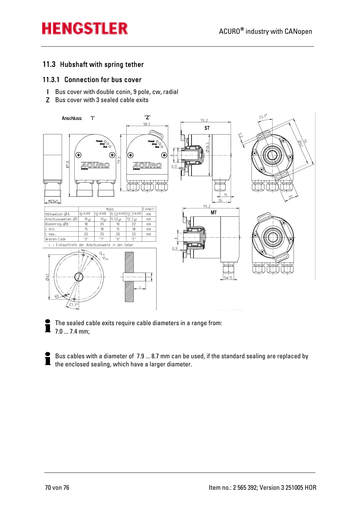## 11.3 Hubshaft with spring tether

## 11.3.1 Connection for bus cover

- I Bus cover with double conin, 9 pole, cw, radial
- Z Bus cover with 3 sealed cable exits



- The sealed cable exits require cable diameters in a range from: L 7.0 ... 7.4 mm;
- Bus cables with a diameter of 7.9 ... 8.7 mm can be used, if the standard sealing are replaced by the enclosed sealing, which have a larger diameter.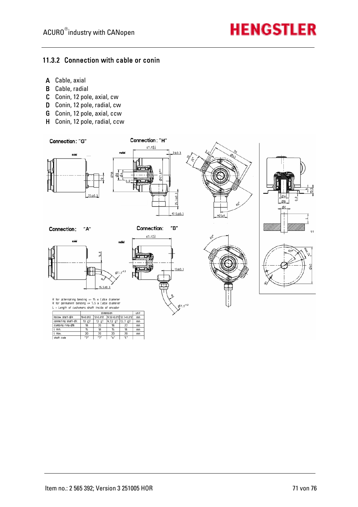## 11.3.2 Connection with cable or conin

- A Cable, axial
- B Cable, radial
- C Conin, 12 pole, axial, cw
- D Conin, 12 pole, radial, cw
- G Conin, 12 pole, axial, ccw
- H Conin, 12 pole, radial, ccw

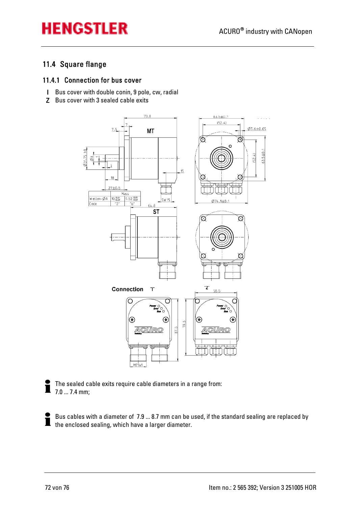## ACURO® industry with CANopen

## **HENGSTLER**

## 11.4 Square flange

## 11.4.1 Connection for bus cover

- I Bus cover with double conin, 9 pole, cw, radial
- Z Bus cover with 3 sealed cable exits



The sealed cable exits require cable diameters in a range from: I 7.0 ... 7.4 mm;

Bus cables with a diameter of 7.9 ... 8.7 mm can be used, if the standard sealing are replaced by the enclosed sealing, which have a larger diameter.

J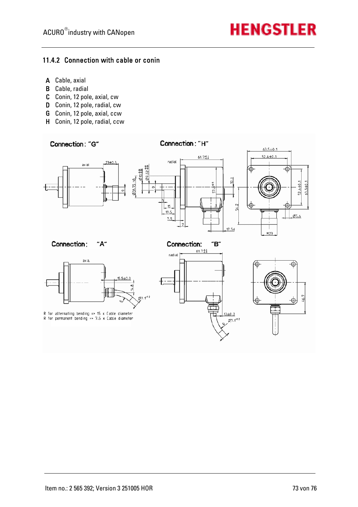# **HENGSTLER**

### 11.4.2 Connection with cable or conin

- A Cable, axial
- **B** Cable, radial
- C Conin, 12 pole, axial, cw
- D Conin, 12 pole, radial, cw
- G Conin, 12 pole, axial, ccw
- H Conin, 12 pole, radial, ccw

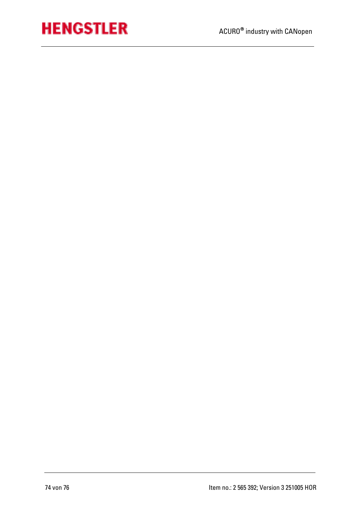## **HENGSTLER**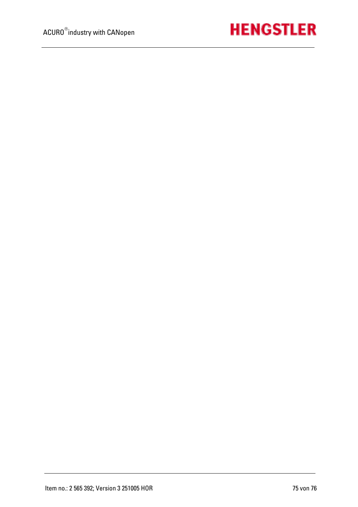## **HENGSTLER**